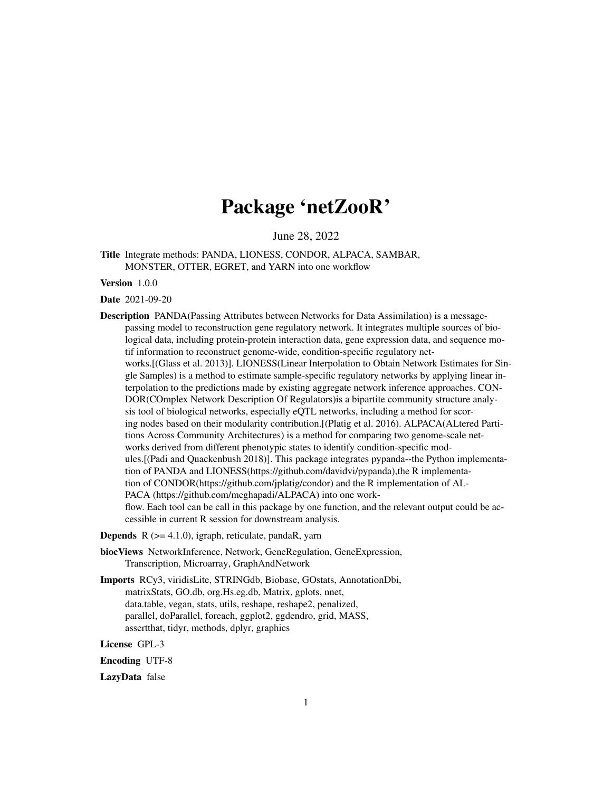# Package 'netZooR'

June 28, 2022

<span id="page-0-0"></span>Title Integrate methods: PANDA, LIONESS, CONDOR, ALPACA, SAMBAR, MONSTER, OTTER, EGRET, and YARN into one workflow

Version 1.0.0

Date 2021-09-20

Description PANDA(Passing Attributes between Networks for Data Assimilation) is a messagepassing model to reconstruction gene regulatory network. It integrates multiple sources of biological data, including protein-protein interaction data, gene expression data, and sequence motif information to reconstruct genome-wide, condition-specific regulatory networks.[(Glass et al. 2013)]. LIONESS(Linear Interpolation to Obtain Network Estimates for Single Samples) is a method to estimate sample-specific regulatory networks by applying linear interpolation to the predictions made by existing aggregate network inference approaches. CON-DOR(COmplex Network Description Of Regulators)is a bipartite community structure analysis tool of biological networks, especially eQTL networks, including a method for scoring nodes based on their modularity contribution.[(Platig et al. 2016). ALPACA(ALtered Partitions Across Community Architectures) is a method for comparing two genome-scale networks derived from different phenotypic states to identify condition-specific modules.[(Padi and Quackenbush 2018)]. This package integrates pypanda--the Python implementation of PANDA and LIONESS(https://github.com/davidvi/pypanda),the R implementation of CONDOR(https://github.com/jplatig/condor) and the R implementation of AL-PACA (https://github.com/meghapadi/ALPACA) into one workflow. Each tool can be call in this package by one function, and the relevant output could be accessible in current R session for downstream analysis.

**Depends**  $R$  ( $>= 4.1.0$ ), igraph, reticulate, pandaR, yarn

- biocViews NetworkInference, Network, GeneRegulation, GeneExpression, Transcription, Microarray, GraphAndNetwork
- Imports RCy3, viridisLite, STRINGdb, Biobase, GOstats, AnnotationDbi, matrixStats, GO.db, org.Hs.eg.db, Matrix, gplots, nnet, data.table, vegan, stats, utils, reshape, reshape2, penalized, parallel, doParallel, foreach, ggplot2, ggdendro, grid, MASS, assertthat, tidyr, methods, dplyr, graphics

License GPL-3

Encoding UTF-8

LazyData false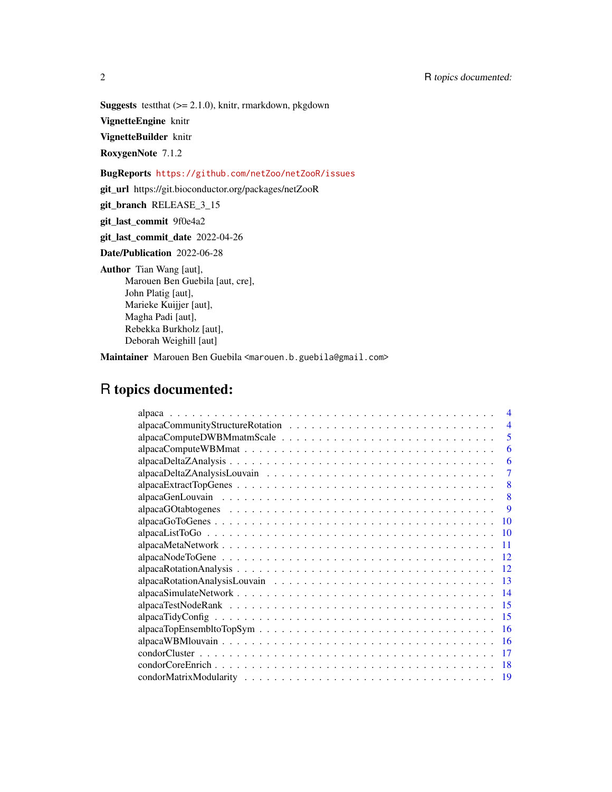**Suggests** test that  $(>= 2.1.0)$ , knitr, rmarkdown, pkgdown

VignetteEngine knitr

VignetteBuilder knitr

RoxygenNote 7.1.2

BugReports <https://github.com/netZoo/netZooR/issues>

git\_url https://git.bioconductor.org/packages/netZooR

git\_branch RELEASE\_3\_15

git\_last\_commit 9f0e4a2

git\_last\_commit\_date 2022-04-26

Date/Publication 2022-06-28

Author Tian Wang [aut],

Marouen Ben Guebila [aut, cre], John Platig [aut], Marieke Kuijjer [aut], Magha Padi [aut], Rebekka Burkholz [aut], Deborah Weighill [aut]

Maintainer Marouen Ben Guebila <marouen.b.guebila@gmail.com>

## R topics documented:

| $\boldsymbol{\varDelta}$ |
|--------------------------|
| $\overline{4}$           |
| 5                        |
| 6                        |
| 6                        |
| 7                        |
| 8                        |
| 8                        |
| 9                        |
| 10                       |
| -10                      |
| 11                       |
| -12                      |
| -12                      |
| -13                      |
|                          |
| -15                      |
| -15                      |
| -16                      |
| -16                      |
| 17                       |
|                          |
| 19                       |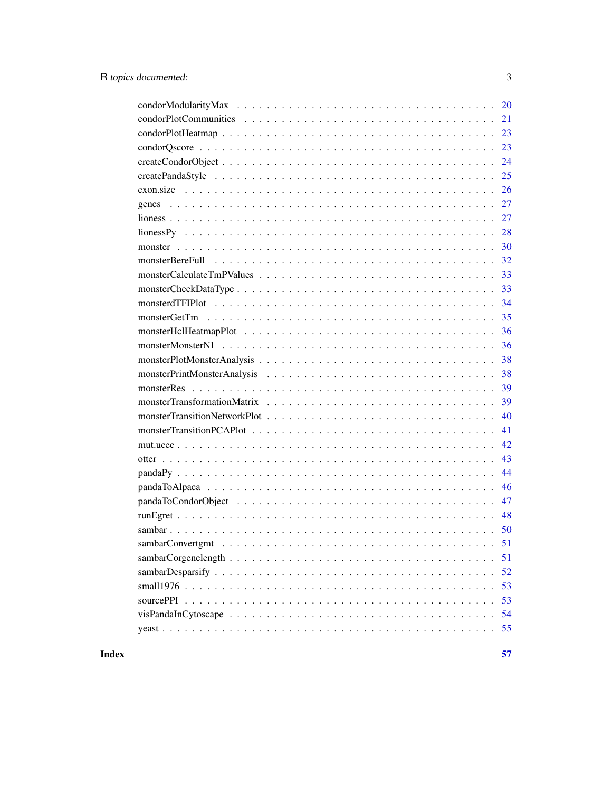| 21                                                                                                                                                              |
|-----------------------------------------------------------------------------------------------------------------------------------------------------------------|
| 23                                                                                                                                                              |
|                                                                                                                                                                 |
| 24                                                                                                                                                              |
| 25                                                                                                                                                              |
| 26                                                                                                                                                              |
|                                                                                                                                                                 |
| 27                                                                                                                                                              |
| $\text{liones}$ $\text{Py}$ $\ldots$ $\ldots$ $\ldots$ $\ldots$ $\ldots$ $\ldots$ $\ldots$ $\ldots$ $\ldots$ $\ldots$ $\ldots$ $\ldots$ $\ldots$ $\ldots$<br>28 |
| 30                                                                                                                                                              |
| 32                                                                                                                                                              |
| 33                                                                                                                                                              |
| 33                                                                                                                                                              |
| 34                                                                                                                                                              |
| 35                                                                                                                                                              |
| 36                                                                                                                                                              |
| 36                                                                                                                                                              |
| 38                                                                                                                                                              |
| 38                                                                                                                                                              |
| 39                                                                                                                                                              |
| 39                                                                                                                                                              |
| 40                                                                                                                                                              |
| 41                                                                                                                                                              |
| 42                                                                                                                                                              |
| 43                                                                                                                                                              |
| 44                                                                                                                                                              |
| 46                                                                                                                                                              |
| 47                                                                                                                                                              |
| 48                                                                                                                                                              |
|                                                                                                                                                                 |
|                                                                                                                                                                 |
| 51                                                                                                                                                              |
| 52                                                                                                                                                              |
| 53                                                                                                                                                              |
| 53                                                                                                                                                              |
| 54                                                                                                                                                              |
| 55                                                                                                                                                              |

## **Index** [57](#page-56-0)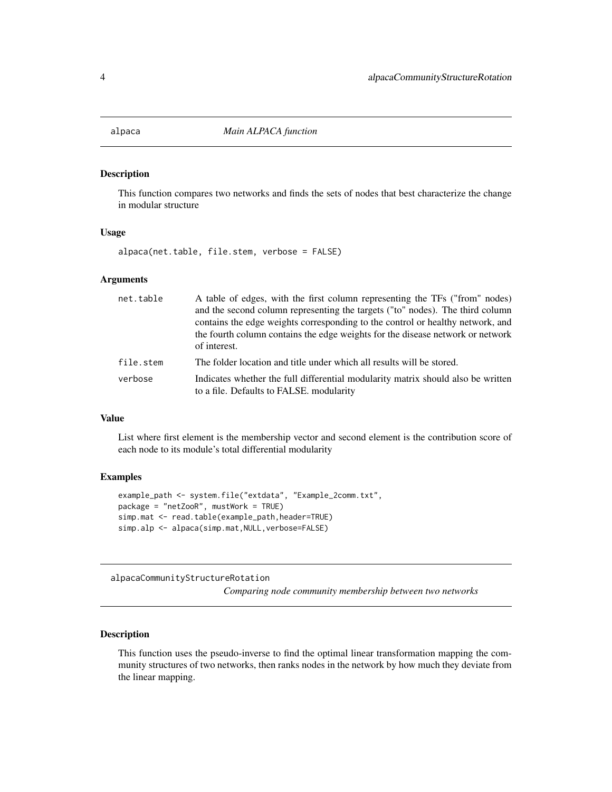<span id="page-3-0"></span>

#### Description

This function compares two networks and finds the sets of nodes that best characterize the change in modular structure

## Usage

alpaca(net.table, file.stem, verbose = FALSE)

## Arguments

| net.table | A table of edges, with the first column representing the TFs ("from" nodes)<br>and the second column representing the targets ("to" nodes). The third column<br>contains the edge weights corresponding to the control or healthy network, and |
|-----------|------------------------------------------------------------------------------------------------------------------------------------------------------------------------------------------------------------------------------------------------|
|           | the fourth column contains the edge weights for the disease network or network<br>of interest.                                                                                                                                                 |
| file.stem | The folder location and title under which all results will be stored.                                                                                                                                                                          |
| verbose   | Indicates whether the full differential modularity matrix should also be written<br>to a file. Defaults to FALSE. modularity                                                                                                                   |

## Value

List where first element is the membership vector and second element is the contribution score of each node to its module's total differential modularity

### Examples

```
example_path <- system.file("extdata", "Example_2comm.txt",
package = "netZooR", mustWork = TRUE)
simp.mat <- read.table(example_path,header=TRUE)
simp.alp <- alpaca(simp.mat, NULL, verbose=FALSE)
```
alpacaCommunityStructureRotation

*Comparing node community membership between two networks*

## Description

This function uses the pseudo-inverse to find the optimal linear transformation mapping the community structures of two networks, then ranks nodes in the network by how much they deviate from the linear mapping.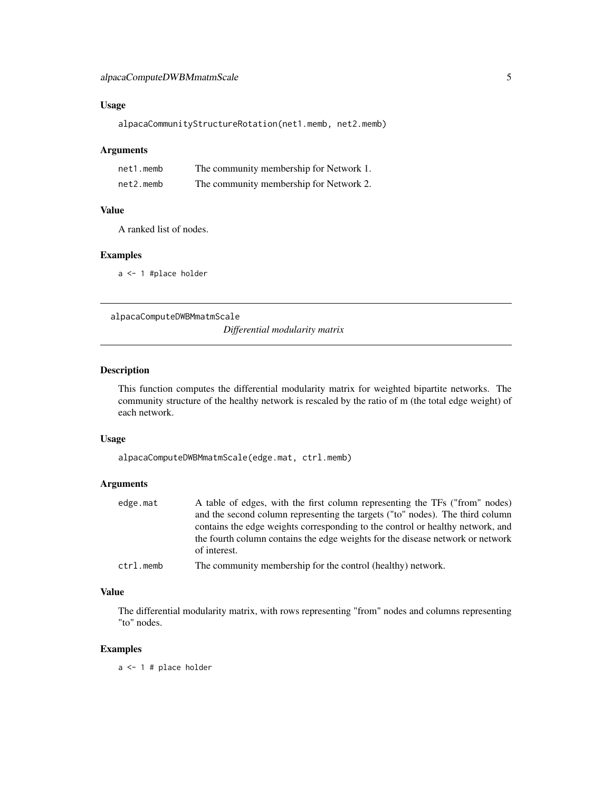## <span id="page-4-0"></span>Usage

alpacaCommunityStructureRotation(net1.memb, net2.memb)

#### Arguments

| net1.memb | The community membership for Network 1. |
|-----------|-----------------------------------------|
| net2.memb | The community membership for Network 2. |

## Value

A ranked list of nodes.

#### Examples

a <- 1 #place holder

alpacaComputeDWBMmatmScale

*Differential modularity matrix*

## Description

This function computes the differential modularity matrix for weighted bipartite networks. The community structure of the healthy network is rescaled by the ratio of m (the total edge weight) of each network.

## Usage

alpacaComputeDWBMmatmScale(edge.mat, ctrl.memb)

## Arguments

| edge.mat | A table of edges, with the first column representing the TFs ("from" nodes)    |
|----------|--------------------------------------------------------------------------------|
|          | and the second column representing the targets ("to" nodes). The third column  |
|          | contains the edge weights corresponding to the control or healthy network, and |
|          | the fourth column contains the edge weights for the disease network or network |
|          | of interest.                                                                   |
|          |                                                                                |

| ctrl.memb | The community membership for the control (healthy) network. |  |  |  |  |
|-----------|-------------------------------------------------------------|--|--|--|--|
|-----------|-------------------------------------------------------------|--|--|--|--|

### Value

The differential modularity matrix, with rows representing "from" nodes and columns representing "to" nodes.

## Examples

a <- 1 # place holder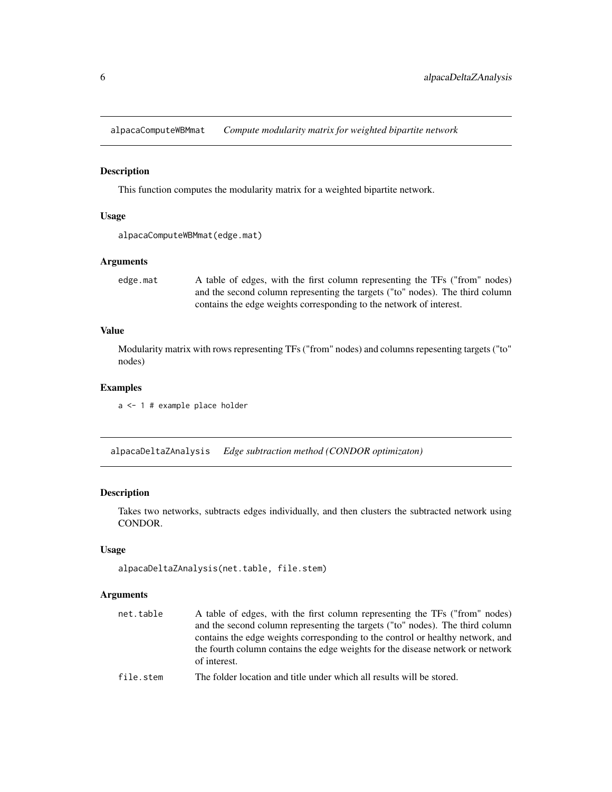<span id="page-5-0"></span>alpacaComputeWBMmat *Compute modularity matrix for weighted bipartite network*

### Description

This function computes the modularity matrix for a weighted bipartite network.

#### Usage

```
alpacaComputeWBMmat(edge.mat)
```
## Arguments

```
edge.mat A table of edges, with the first column representing the TFs ("from" nodes)
                 and the second column representing the targets ("to" nodes). The third column
                 contains the edge weights corresponding to the network of interest.
```
## Value

Modularity matrix with rows representing TFs ("from" nodes) and columns repesenting targets ("to" nodes)

## Examples

a <- 1 # example place holder

alpacaDeltaZAnalysis *Edge subtraction method (CONDOR optimizaton)*

## Description

Takes two networks, subtracts edges individually, and then clusters the subtracted network using CONDOR.

## Usage

```
alpacaDeltaZAnalysis(net.table, file.stem)
```
## Arguments

| net.table | A table of edges, with the first column representing the TFs ("from" nodes)<br>and the second column representing the targets ("to" nodes). The third column<br>contains the edge weights corresponding to the control or healthy network, and<br>the fourth column contains the edge weights for the disease network or network<br>of interest. |
|-----------|--------------------------------------------------------------------------------------------------------------------------------------------------------------------------------------------------------------------------------------------------------------------------------------------------------------------------------------------------|
| £:1. .1   | $\overline{\text{Th}}$ . Let $\overline{\text{In}}$ be a functional conditional directly in the following the condition of the second state of the second state of the second state of the second state of the second state of the second state of th                                                                                            |

file.stem The folder location and title under which all results will be stored.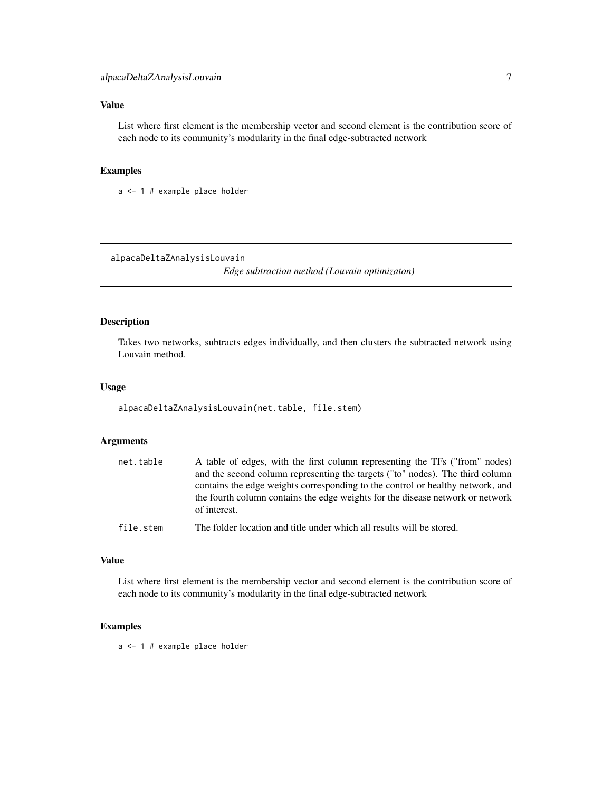## <span id="page-6-0"></span>Value

List where first element is the membership vector and second element is the contribution score of each node to its community's modularity in the final edge-subtracted network

## Examples

a <- 1 # example place holder

alpacaDeltaZAnalysisLouvain

*Edge subtraction method (Louvain optimizaton)*

#### Description

Takes two networks, subtracts edges individually, and then clusters the subtracted network using Louvain method.

#### Usage

alpacaDeltaZAnalysisLouvain(net.table, file.stem)

## Arguments

| net.table | A table of edges, with the first column representing the TFs ("from" nodes)<br>and the second column representing the targets ("to" nodes). The third column<br>contains the edge weights corresponding to the control or healthy network, and |
|-----------|------------------------------------------------------------------------------------------------------------------------------------------------------------------------------------------------------------------------------------------------|
|           | the fourth column contains the edge weights for the disease network or network<br>of interest.                                                                                                                                                 |
| file.stem | The folder location and title under which all results will be stored.                                                                                                                                                                          |

## Value

List where first element is the membership vector and second element is the contribution score of each node to its community's modularity in the final edge-subtracted network

## Examples

a <- 1 # example place holder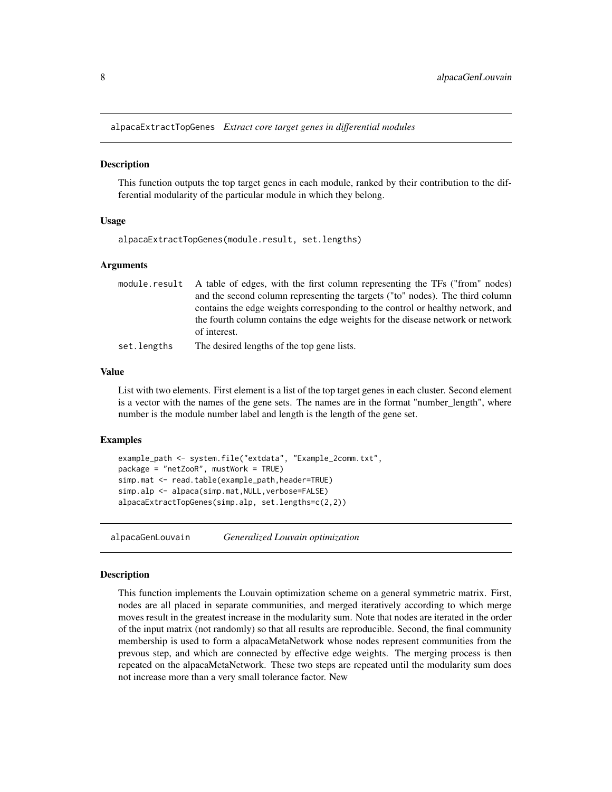<span id="page-7-0"></span>alpacaExtractTopGenes *Extract core target genes in differential modules*

## Description

This function outputs the top target genes in each module, ranked by their contribution to the differential modularity of the particular module in which they belong.

#### Usage

alpacaExtractTopGenes(module.result, set.lengths)

#### Arguments

|             | module result A table of edges, with the first column representing the TFs ("from" nodes) |
|-------------|-------------------------------------------------------------------------------------------|
|             | and the second column representing the targets ("to" nodes). The third column             |
|             | contains the edge weights corresponding to the control or healthy network, and            |
|             | the fourth column contains the edge weights for the disease network or network            |
|             | of interest.                                                                              |
| set.lengths | The desired lengths of the top gene lists.                                                |

#### Value

List with two elements. First element is a list of the top target genes in each cluster. Second element is a vector with the names of the gene sets. The names are in the format "number\_length", where number is the module number label and length is the length of the gene set.

### Examples

```
example_path <- system.file("extdata", "Example_2comm.txt",
package = "netZooR", mustWork = TRUE)
simp.mat <- read.table(example_path,header=TRUE)
simp.alp <- alpaca(simp.mat, NULL, verbose=FALSE)
alpacaExtractTopGenes(simp.alp, set.lengths=c(2,2))
```
alpacaGenLouvain *Generalized Louvain optimization*

#### Description

This function implements the Louvain optimization scheme on a general symmetric matrix. First, nodes are all placed in separate communities, and merged iteratively according to which merge moves result in the greatest increase in the modularity sum. Note that nodes are iterated in the order of the input matrix (not randomly) so that all results are reproducible. Second, the final community membership is used to form a alpacaMetaNetwork whose nodes represent communities from the prevous step, and which are connected by effective edge weights. The merging process is then repeated on the alpacaMetaNetwork. These two steps are repeated until the modularity sum does not increase more than a very small tolerance factor. New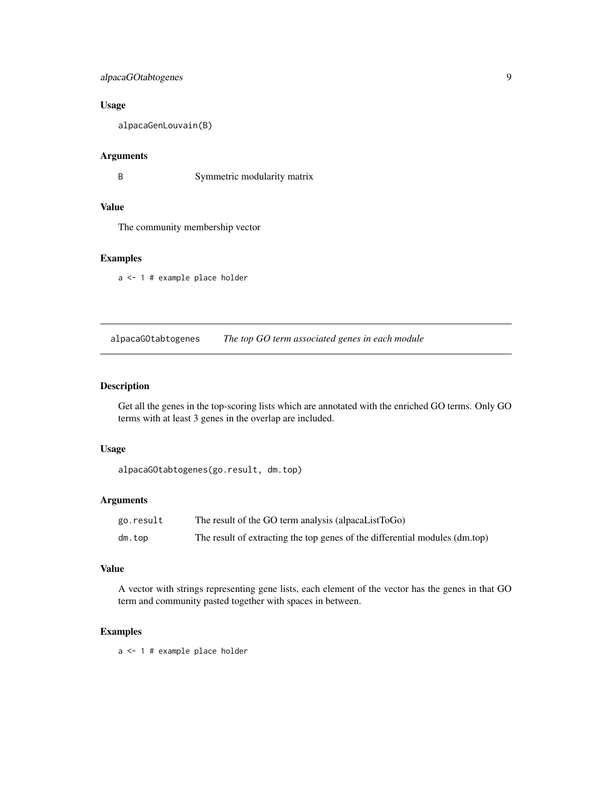## <span id="page-8-0"></span>alpacaGOtabtogenes 9

## Usage

alpacaGenLouvain(B)

#### Arguments

B Symmetric modularity matrix

## Value

The community membership vector

## Examples

a <- 1 # example place holder

alpacaGOtabtogenes *The top GO term associated genes in each module*

## Description

Get all the genes in the top-scoring lists which are annotated with the enriched GO terms. Only GO terms with at least 3 genes in the overlap are included.

#### Usage

alpacaGOtabtogenes(go.result, dm.top)

## Arguments

| go.result | The result of the GO term analysis (alpacaListToGo)                         |
|-----------|-----------------------------------------------------------------------------|
| dm.top    | The result of extracting the top genes of the differential modules (dm.top) |

## Value

A vector with strings representing gene lists, each element of the vector has the genes in that GO term and community pasted together with spaces in between.

## Examples

a <- 1 # example place holder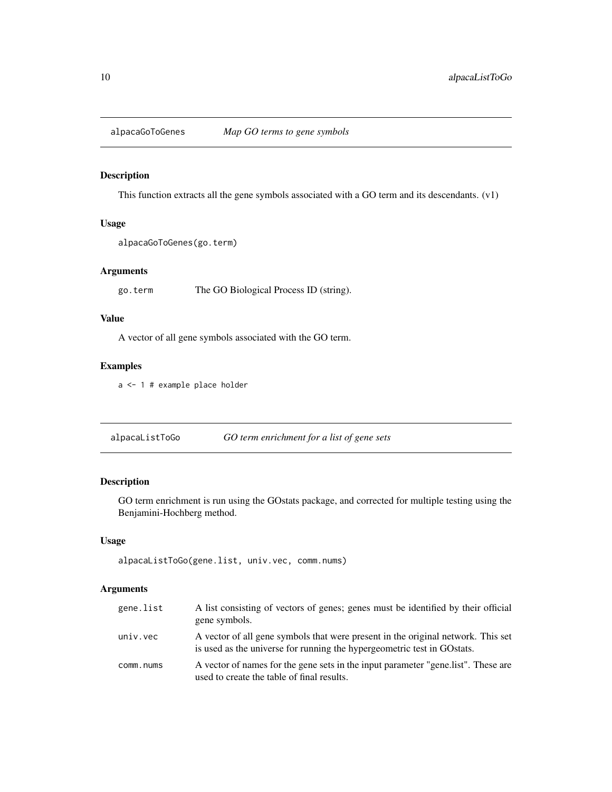<span id="page-9-0"></span>alpacaGoToGenes *Map GO terms to gene symbols*

## Description

This function extracts all the gene symbols associated with a GO term and its descendants. (v1)

## Usage

```
alpacaGoToGenes(go.term)
```
## Arguments

go.term The GO Biological Process ID (string).

## Value

A vector of all gene symbols associated with the GO term.

## Examples

a <- 1 # example place holder

alpacaListToGo *GO term enrichment for a list of gene sets*

## Description

GO term enrichment is run using the GOstats package, and corrected for multiple testing using the Benjamini-Hochberg method.

### Usage

alpacaListToGo(gene.list, univ.vec, comm.nums)

## Arguments

| gene.list | A list consisting of vectors of genes; genes must be identified by their official<br>gene symbols.                                                          |
|-----------|-------------------------------------------------------------------------------------------------------------------------------------------------------------|
| univ.vec  | A vector of all gene symbols that were present in the original network. This set<br>is used as the universe for running the hypergeometric test in GOstats. |
| comm.nums | A vector of names for the gene sets in the input parameter "gene.list". These are<br>used to create the table of final results.                             |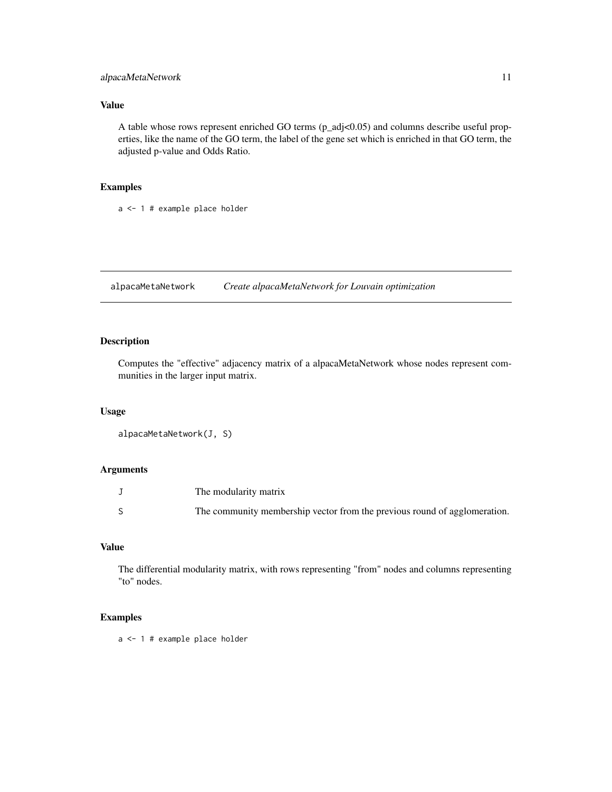## <span id="page-10-0"></span>alpacaMetaNetwork 11

## Value

A table whose rows represent enriched GO terms (p\_adj<0.05) and columns describe useful properties, like the name of the GO term, the label of the gene set which is enriched in that GO term, the adjusted p-value and Odds Ratio.

## Examples

a <- 1 # example place holder

alpacaMetaNetwork *Create alpacaMetaNetwork for Louvain optimization*

## Description

Computes the "effective" adjacency matrix of a alpacaMetaNetwork whose nodes represent communities in the larger input matrix.

## Usage

```
alpacaMetaNetwork(J, S)
```
## Arguments

| The modularity matrix                                                     |
|---------------------------------------------------------------------------|
| The community membership vector from the previous round of agglomeration. |

## Value

The differential modularity matrix, with rows representing "from" nodes and columns representing "to" nodes.

## Examples

a <- 1 # example place holder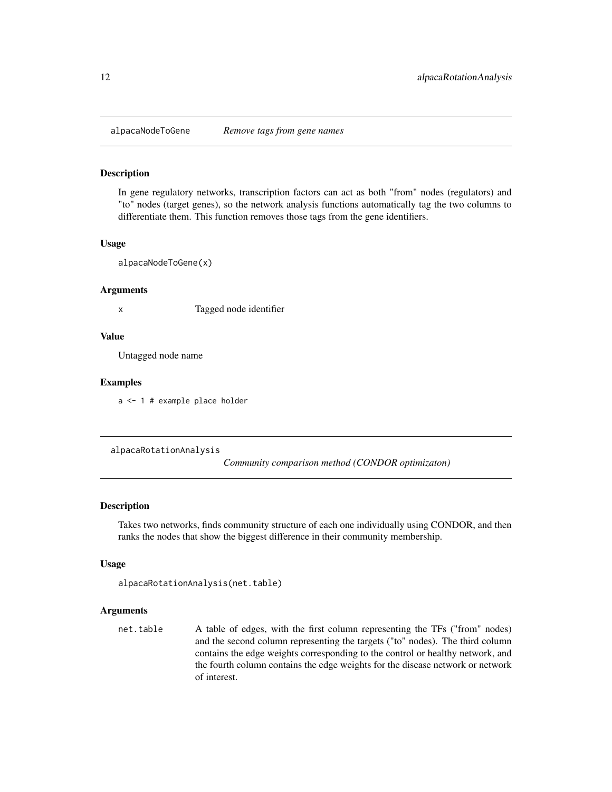<span id="page-11-0"></span>

#### Description

In gene regulatory networks, transcription factors can act as both "from" nodes (regulators) and "to" nodes (target genes), so the network analysis functions automatically tag the two columns to differentiate them. This function removes those tags from the gene identifiers.

#### Usage

alpacaNodeToGene(x)

#### Arguments

x Tagged node identifier

## Value

Untagged node name

#### Examples

a <- 1 # example place holder

alpacaRotationAnalysis

*Community comparison method (CONDOR optimizaton)*

### Description

Takes two networks, finds community structure of each one individually using CONDOR, and then ranks the nodes that show the biggest difference in their community membership.

#### Usage

```
alpacaRotationAnalysis(net.table)
```
## Arguments

net.table A table of edges, with the first column representing the TFs ("from" nodes) and the second column representing the targets ("to" nodes). The third column contains the edge weights corresponding to the control or healthy network, and the fourth column contains the edge weights for the disease network or network of interest.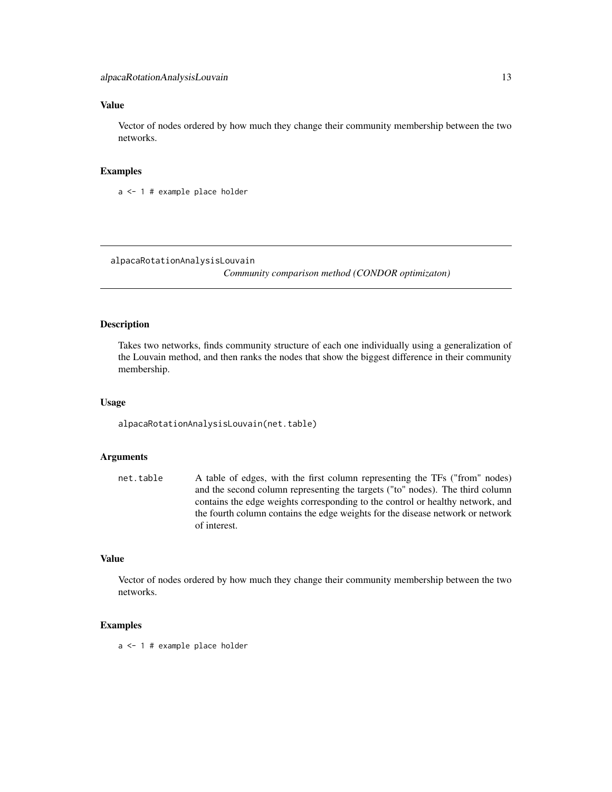## <span id="page-12-0"></span>Value

Vector of nodes ordered by how much they change their community membership between the two networks.

#### Examples

a <- 1 # example place holder

alpacaRotationAnalysisLouvain

*Community comparison method (CONDOR optimizaton)*

## Description

Takes two networks, finds community structure of each one individually using a generalization of the Louvain method, and then ranks the nodes that show the biggest difference in their community membership.

#### Usage

alpacaRotationAnalysisLouvain(net.table)

#### Arguments

net.table A table of edges, with the first column representing the TFs ("from" nodes) and the second column representing the targets ("to" nodes). The third column contains the edge weights corresponding to the control or healthy network, and the fourth column contains the edge weights for the disease network or network of interest.

## Value

Vector of nodes ordered by how much they change their community membership between the two networks.

### Examples

a <- 1 # example place holder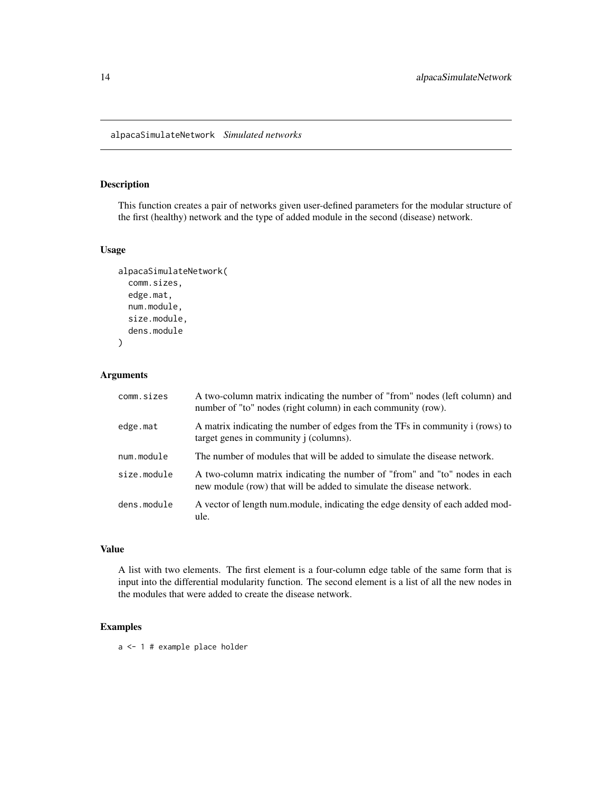<span id="page-13-0"></span>alpacaSimulateNetwork *Simulated networks*

## Description

This function creates a pair of networks given user-defined parameters for the modular structure of the first (healthy) network and the type of added module in the second (disease) network.

#### Usage

```
alpacaSimulateNetwork(
  comm.sizes,
  edge.mat,
  num.module,
  size.module,
  dens.module
)
```
## Arguments

| comm.sizes  | A two-column matrix indicating the number of "from" nodes (left column) and<br>number of "to" nodes (right column) in each community (row).        |
|-------------|----------------------------------------------------------------------------------------------------------------------------------------------------|
| edge.mat    | A matrix indicating the number of edges from the TFs in community i (rows) to<br>target genes in community j (columns).                            |
| num.module  | The number of modules that will be added to simulate the disease network.                                                                          |
| size.module | A two-column matrix indicating the number of "from" and "to" nodes in each<br>new module (row) that will be added to simulate the disease network. |
| dens.module | A vector of length num.module, indicating the edge density of each added mod-<br>ule.                                                              |

## Value

A list with two elements. The first element is a four-column edge table of the same form that is input into the differential modularity function. The second element is a list of all the new nodes in the modules that were added to create the disease network.

## Examples

a <- 1 # example place holder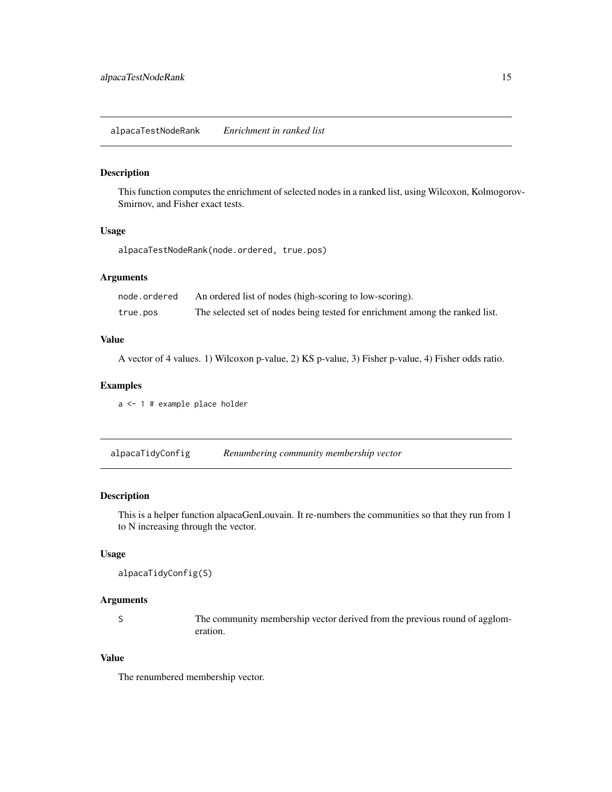#### <span id="page-14-0"></span>Description

This function computes the enrichment of selected nodes in a ranked list, using Wilcoxon, Kolmogorov-Smirnov, and Fisher exact tests.

#### Usage

alpacaTestNodeRank(node.ordered, true.pos)

#### Arguments

| node.ordered | An ordered list of nodes (high-scoring to low-scoring).                      |
|--------------|------------------------------------------------------------------------------|
| true.pos     | The selected set of nodes being tested for enrichment among the ranked list. |

## Value

A vector of 4 values. 1) Wilcoxon p-value, 2) KS p-value, 3) Fisher p-value, 4) Fisher odds ratio.

## Examples

a <- 1 # example place holder

| alpacaTidyConfig | Renumbering community membership vector |
|------------------|-----------------------------------------|
|                  |                                         |

## Description

This is a helper function alpacaGenLouvain. It re-numbers the communities so that they run from 1 to N increasing through the vector.

#### Usage

```
alpacaTidyConfig(S)
```
## Arguments

S The community membership vector derived from the previous round of agglomeration.

## Value

The renumbered membership vector.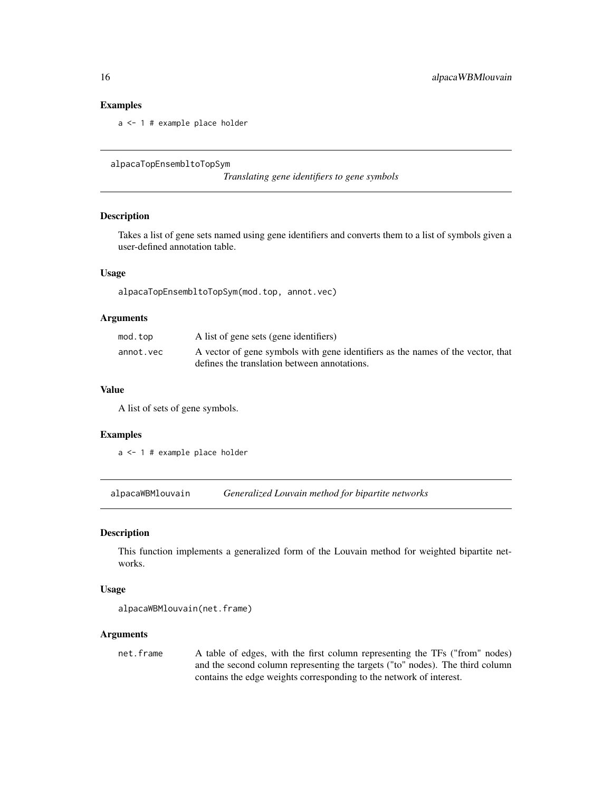## Examples

a <- 1 # example place holder

alpacaTopEnsembltoTopSym

*Translating gene identifiers to gene symbols*

#### Description

Takes a list of gene sets named using gene identifiers and converts them to a list of symbols given a user-defined annotation table.

#### Usage

alpacaTopEnsembltoTopSym(mod.top, annot.vec)

#### Arguments

| mod.top   | A list of gene sets (gene identifiers)                                          |
|-----------|---------------------------------------------------------------------------------|
| annot.vec | A vector of gene symbols with gene identifiers as the names of the vector, that |
|           | defines the translation between annotations.                                    |

#### Value

A list of sets of gene symbols.

#### Examples

a <- 1 # example place holder

alpacaWBMlouvain *Generalized Louvain method for bipartite networks*

## Description

This function implements a generalized form of the Louvain method for weighted bipartite networks.

## Usage

```
alpacaWBMlouvain(net.frame)
```
## Arguments

net.frame A table of edges, with the first column representing the TFs ("from" nodes) and the second column representing the targets ("to" nodes). The third column contains the edge weights corresponding to the network of interest.

<span id="page-15-0"></span>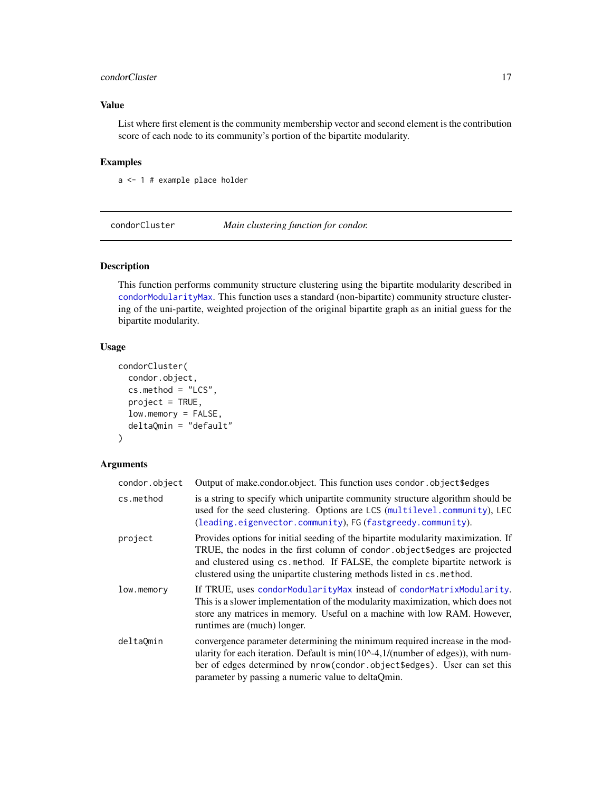## <span id="page-16-0"></span>condorCluster 17

## Value

List where first element is the community membership vector and second element is the contribution score of each node to its community's portion of the bipartite modularity.

## Examples

a <- 1 # example place holder

<span id="page-16-1"></span>condorCluster *Main clustering function for condor.*

## Description

This function performs community structure clustering using the bipartite modularity described in [condorModularityMax](#page-19-1). This function uses a standard (non-bipartite) community structure clustering of the uni-partite, weighted projection of the original bipartite graph as an initial guess for the bipartite modularity.

## Usage

```
condorCluster(
  condor.object,
  cs.method = "LCS",
  project = TRUE,
  low.memory = FALSE,
  deltaQmin = "default"
)
```
### Arguments

| condor.object | Output of make.condor.object. This function uses condor.object\$edges                                                                                                                                                                                                                                                   |
|---------------|-------------------------------------------------------------------------------------------------------------------------------------------------------------------------------------------------------------------------------------------------------------------------------------------------------------------------|
| cs.method     | is a string to specify which unipartite community structure algorithm should be<br>used for the seed clustering. Options are LCS (multilevel.community), LEC<br>(leading.eigenvector.community), FG (fastgreedy.community).                                                                                             |
| project       | Provides options for initial seeding of the bipartite modularity maximization. If<br>TRUE, the nodes in the first column of condor object\$edges are projected<br>and clustered using cs.method. If FALSE, the complete bipartite network is<br>clustered using the unipartite clustering methods listed in cs. method. |
| low.memory    | If TRUE, uses condorModularityMax instead of condorMatrixModularity.<br>This is a slower implementation of the modularity maximization, which does not<br>store any matrices in memory. Useful on a machine with low RAM. However,<br>runtimes are (much) longer.                                                       |
| deltaQmin     | convergence parameter determining the minimum required increase in the mod-<br>ularity for each iteration. Default is $min(10^{\wedge} -4, 1/(number \ of \ edges)),$ with num-<br>ber of edges determined by nrow(condor.object\$edges). User can set this<br>parameter by passing a numeric value to deltaQmin.       |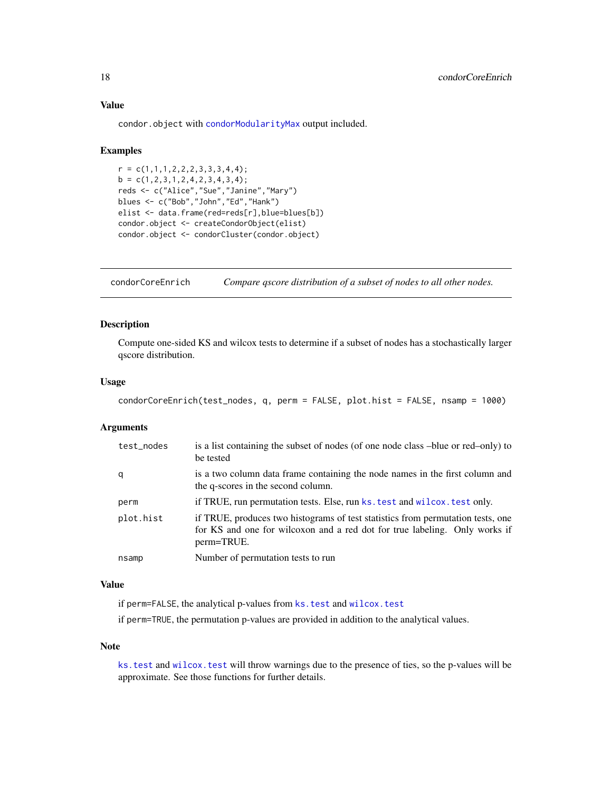## Value

condor.object with [condorModularityMax](#page-19-1) output included.

#### Examples

```
r = c(1,1,1,2,2,2,3,3,3,4,4);b = c(1, 2, 3, 1, 2, 4, 2, 3, 4, 3, 4);reds <- c("Alice","Sue","Janine","Mary")
blues <- c("Bob","John","Ed","Hank")
elist <- data.frame(red=reds[r],blue=blues[b])
condor.object <- createCondorObject(elist)
condor.object <- condorCluster(condor.object)
```
condorCoreEnrich *Compare qscore distribution of a subset of nodes to all other nodes.*

## Description

Compute one-sided KS and wilcox tests to determine if a subset of nodes has a stochastically larger qscore distribution.

#### Usage

```
condorCoreEnrich(test_nodes, q, perm = FALSE, plot.hist = FALSE, nsamp = 1000)
```
#### Arguments

| test_nodes | is a list containing the subset of nodes (of one node class –blue or red–only) to<br>be tested                                                                              |  |  |  |
|------------|-----------------------------------------------------------------------------------------------------------------------------------------------------------------------------|--|--|--|
| q          | is a two column data frame containing the node names in the first column and<br>the q-scores in the second column.                                                          |  |  |  |
| perm       | if TRUE, run permutation tests. Else, run ks. test and wilcox. test only.                                                                                                   |  |  |  |
| plot.hist  | if TRUE, produces two histograms of test statistics from permutation tests, one<br>for KS and one for wilcoxon and a red dot for true labeling. Only works if<br>perm=TRUE. |  |  |  |
| nsamp      | Number of permutation tests to run                                                                                                                                          |  |  |  |

## Value

if perm=FALSE, the analytical p-values from [ks.test](#page-0-0) and [wilcox.test](#page-0-0)

if perm=TRUE, the permutation p-values are provided in addition to the analytical values.

#### Note

ks. test and wilcox. test will throw warnings due to the presence of ties, so the p-values will be approximate. See those functions for further details.

<span id="page-17-0"></span>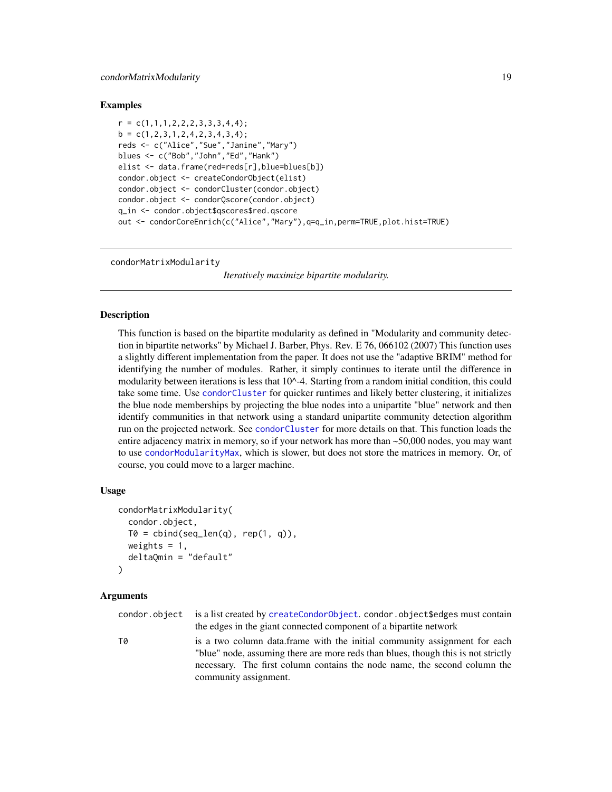#### <span id="page-18-0"></span>Examples

```
r = c(1,1,1,2,2,2,3,3,3,4,4);b = c(1, 2, 3, 1, 2, 4, 2, 3, 4, 3, 4);reds <- c("Alice","Sue","Janine","Mary")
blues <- c("Bob","John","Ed","Hank")
elist <- data.frame(red=reds[r],blue=blues[b])
condor.object <- createCondorObject(elist)
condor.object <- condorCluster(condor.object)
condor.object <- condorQscore(condor.object)
q_in <- condor.object$qscores$red.qscore
out <- condorCoreEnrich(c("Alice","Mary"),q=q_in,perm=TRUE,plot.hist=TRUE)
```
<span id="page-18-1"></span>condorMatrixModularity

*Iteratively maximize bipartite modularity.*

#### **Description**

This function is based on the bipartite modularity as defined in "Modularity and community detection in bipartite networks" by Michael J. Barber, Phys. Rev. E 76, 066102 (2007) This function uses a slightly different implementation from the paper. It does not use the "adaptive BRIM" method for identifying the number of modules. Rather, it simply continues to iterate until the difference in modularity between iterations is less that  $10<sup>0</sup>-4$ . Starting from a random initial condition, this could take some time. Use [condorCluster](#page-16-1) for quicker runtimes and likely better clustering, it initializes the blue node memberships by projecting the blue nodes into a unipartite "blue" network and then identify communities in that network using a standard unipartite community detection algorithm run on the projected network. See [condorCluster](#page-16-1) for more details on that. This function loads the entire adjacency matrix in memory, so if your network has more than ~50,000 nodes, you may want to use [condorModularityMax](#page-19-1), which is slower, but does not store the matrices in memory. Or, of course, you could move to a larger machine.

### Usage

```
condorMatrixModularity(
  condor.object,
  T0 = \text{cbind}(\text{seq\_len}(q), \text{rep}(1, q)),weights = 1,
  deltaQmin = "default"
)
```
community assignment.

#### Arguments

condor.object is a list created by [createCondorObject](#page-23-1). condor.object\$edges must contain the edges in the giant connected component of a bipartite network T0 is a two column data.frame with the initial community assignment for each "blue" node, assuming there are more reds than blues, though this is not strictly necessary. The first column contains the node name, the second column the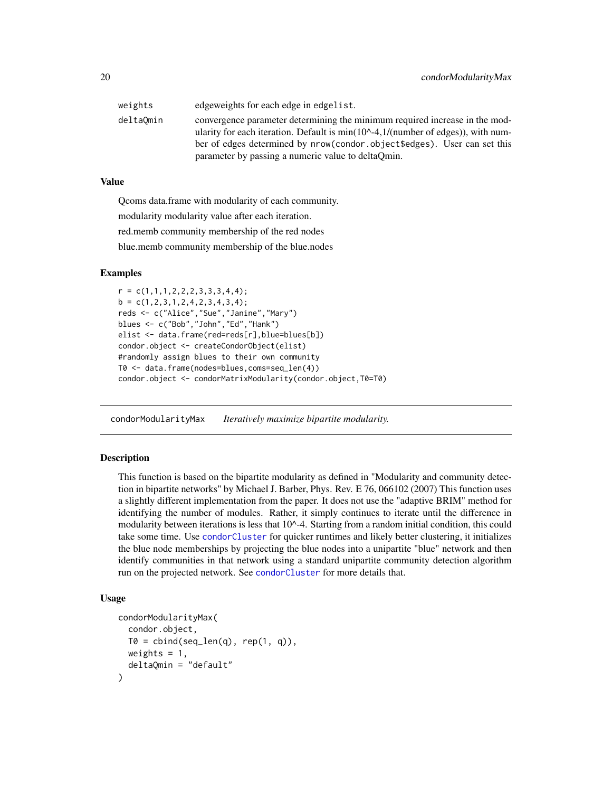<span id="page-19-0"></span>

| weights   | edgeweights for each edge in edgelist.                                                                                                                                |
|-----------|-----------------------------------------------------------------------------------------------------------------------------------------------------------------------|
| deltaOmin | convergence parameter determining the minimum required increase in the mod-<br>ularity for each iteration. Default is $min(100 - 4, 1/(number of edges))$ , with num- |
|           | ber of edges determined by nrow(condor, object \$edges). User can set this                                                                                            |
|           | parameter by passing a numeric value to deltaQmin.                                                                                                                    |

#### Value

Qcoms data.frame with modularity of each community.

modularity modularity value after each iteration.

red.memb community membership of the red nodes

blue.memb community membership of the blue.nodes

#### Examples

```
r = c(1,1,1,2,2,2,3,3,3,4,4);b = c(1, 2, 3, 1, 2, 4, 2, 3, 4, 3, 4);reds <- c("Alice","Sue","Janine","Mary")
blues <- c("Bob","John","Ed","Hank")
elist <- data.frame(red=reds[r],blue=blues[b])
condor.object <- createCondorObject(elist)
#randomly assign blues to their own community
T0 <- data.frame(nodes=blues,coms=seq_len(4))
condor.object <- condorMatrixModularity(condor.object,T0=T0)
```
<span id="page-19-1"></span>condorModularityMax *Iteratively maximize bipartite modularity.*

#### Description

This function is based on the bipartite modularity as defined in "Modularity and community detection in bipartite networks" by Michael J. Barber, Phys. Rev. E 76, 066102 (2007) This function uses a slightly different implementation from the paper. It does not use the "adaptive BRIM" method for identifying the number of modules. Rather, it simply continues to iterate until the difference in modularity between iterations is less that  $10<sup>0</sup>-4$ . Starting from a random initial condition, this could take some time. Use [condorCluster](#page-16-1) for quicker runtimes and likely better clustering, it initializes the blue node memberships by projecting the blue nodes into a unipartite "blue" network and then identify communities in that network using a standard unipartite community detection algorithm run on the projected network. See [condorCluster](#page-16-1) for more details that.

```
condorModularityMax(
  condor.object,
  T0 = \text{cbind}(\text{seq\_len}(q), \text{rep}(1, q)),weights = 1,
  deltaQmin = "default"
)
```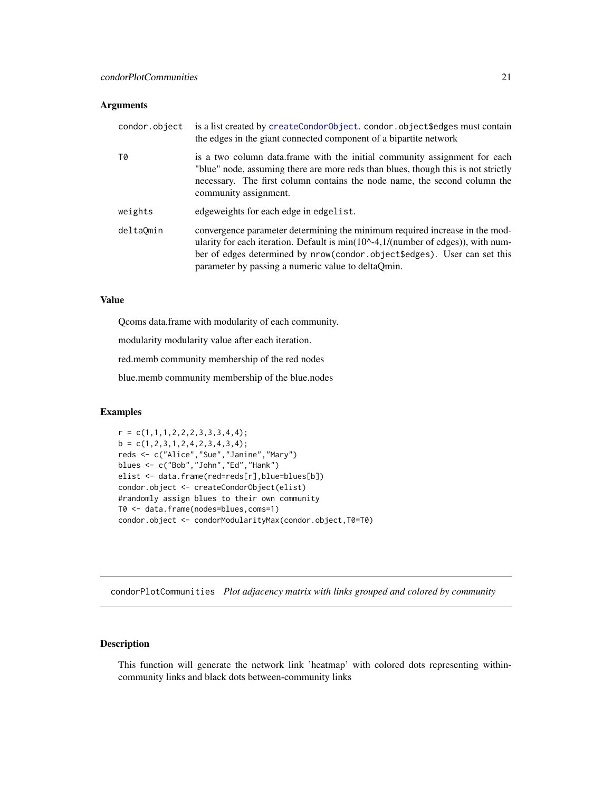## <span id="page-20-0"></span>Arguments

| condor.object | is a list created by createCondorObject. condor.object\$edges must contain<br>the edges in the giant connected component of a bipartite network                                                                                                                                                                       |
|---------------|-----------------------------------------------------------------------------------------------------------------------------------------------------------------------------------------------------------------------------------------------------------------------------------------------------------------------|
| T0            | is a two column data. frame with the initial community assignment for each<br>"blue" node, assuming there are more reds than blues, though this is not strictly<br>necessary. The first column contains the node name, the second column the<br>community assignment.                                                 |
| weights       | edgeweights for each edge in edgelist.                                                                                                                                                                                                                                                                                |
| deltaOmin     | convergence parameter determining the minimum required increase in the mod-<br>ularity for each iteration. Default is $min(10^{\circ} - 4, 1/(number \text{ of edges})),$ with num-<br>ber of edges determined by nrow(condor.object\$edges). User can set this<br>parameter by passing a numeric value to deltaQmin. |

#### Value

Qcoms data.frame with modularity of each community.

modularity modularity value after each iteration.

red.memb community membership of the red nodes

blue.memb community membership of the blue.nodes

## Examples

```
r = c(1,1,1,2,2,2,3,3,3,4,4);b = c(1, 2, 3, 1, 2, 4, 2, 3, 4, 3, 4);reds <- c("Alice","Sue","Janine","Mary")
blues <- c("Bob","John","Ed","Hank")
elist <- data.frame(red=reds[r],blue=blues[b])
condor.object <- createCondorObject(elist)
#randomly assign blues to their own community
T0 <- data.frame(nodes=blues,coms=1)
condor.object <- condorModularityMax(condor.object,T0=T0)
```
condorPlotCommunities *Plot adjacency matrix with links grouped and colored by community*

## Description

This function will generate the network link 'heatmap' with colored dots representing withincommunity links and black dots between-community links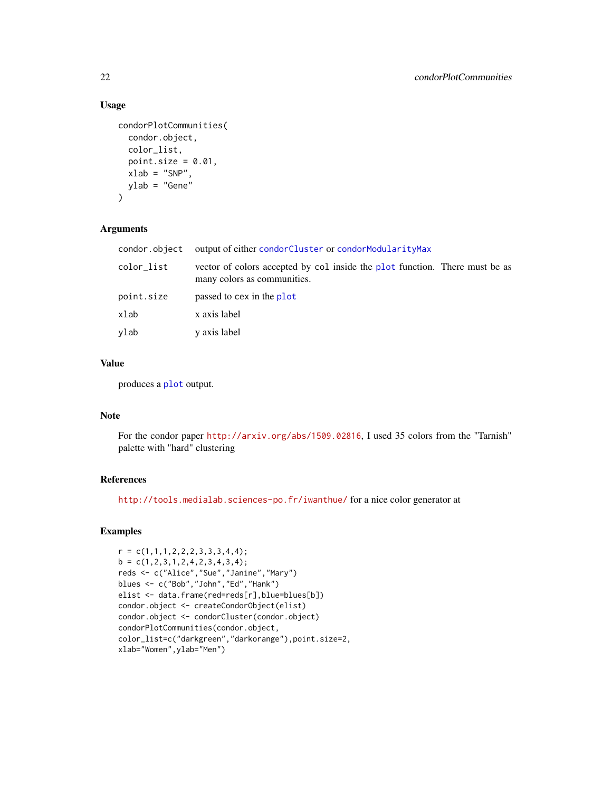## Usage

```
condorPlotCommunities(
  condor.object,
  color_list,
 point.size = 0.01,
 xlab = "SNP",ylab = "Gene"
)
```
## Arguments

| condor.object | output of either condorCluster or condorModularityMax                                                      |
|---------------|------------------------------------------------------------------------------------------------------------|
| color_list    | vector of colors accepted by col inside the plot function. There must be as<br>many colors as communities. |
| point.size    | passed to cex in the plot                                                                                  |
| xlab          | x axis label                                                                                               |
| vlab          | y axis label                                                                                               |

## Value

produces a [plot](#page-0-0) output.

## Note

For the condor paper <http://arxiv.org/abs/1509.02816>, I used 35 colors from the "Tarnish" palette with "hard" clustering

## References

<http://tools.medialab.sciences-po.fr/iwanthue/> for a nice color generator at

## Examples

```
r = c(1,1,1,2,2,2,3,3,3,4,4);b = c(1, 2, 3, 1, 2, 4, 2, 3, 4, 3, 4);reds <- c("Alice","Sue","Janine","Mary")
blues <- c("Bob","John","Ed","Hank")
elist <- data.frame(red=reds[r],blue=blues[b])
condor.object <- createCondorObject(elist)
condor.object <- condorCluster(condor.object)
condorPlotCommunities(condor.object,
color_list=c("darkgreen","darkorange"),point.size=2,
xlab="Women",ylab="Men")
```
<span id="page-21-0"></span>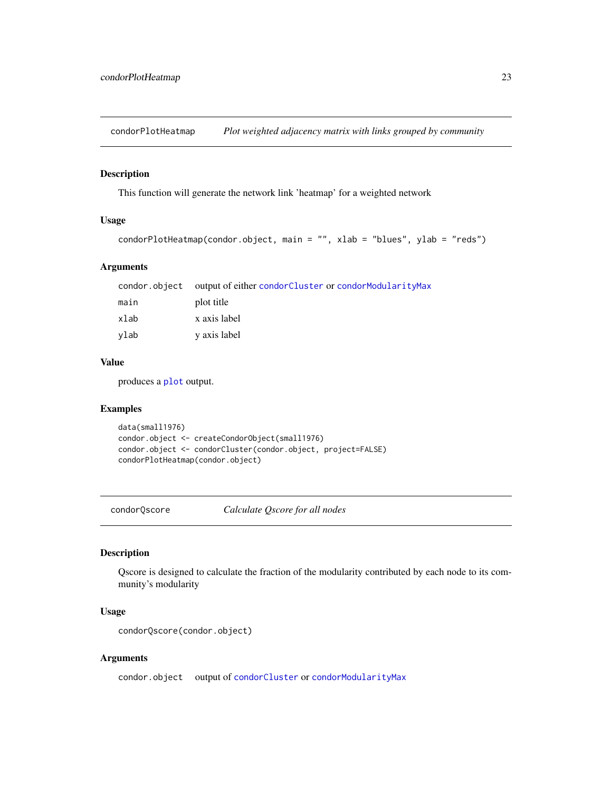<span id="page-22-0"></span>condorPlotHeatmap *Plot weighted adjacency matrix with links grouped by community*

#### Description

This function will generate the network link 'heatmap' for a weighted network

## Usage

```
condorPlotHeatmap(condor.object, main = "", xlab = "blues", ylab = "reds")
```
#### Arguments

|      | condor.object output of either condorCluster or condorModularityMax |
|------|---------------------------------------------------------------------|
| main | plot title                                                          |
| xlab | x axis label                                                        |
| vlab | y axis label                                                        |

## Value

produces a [plot](#page-0-0) output.

## Examples

```
data(small1976)
condor.object <- createCondorObject(small1976)
condor.object <- condorCluster(condor.object, project=FALSE)
condorPlotHeatmap(condor.object)
```
<span id="page-22-1"></span>condorQscore *Calculate Qscore for all nodes*

## Description

Qscore is designed to calculate the fraction of the modularity contributed by each node to its community's modularity

## Usage

```
condorQscore(condor.object)
```
## Arguments

condor.object output of [condorCluster](#page-16-1) or [condorModularityMax](#page-19-1)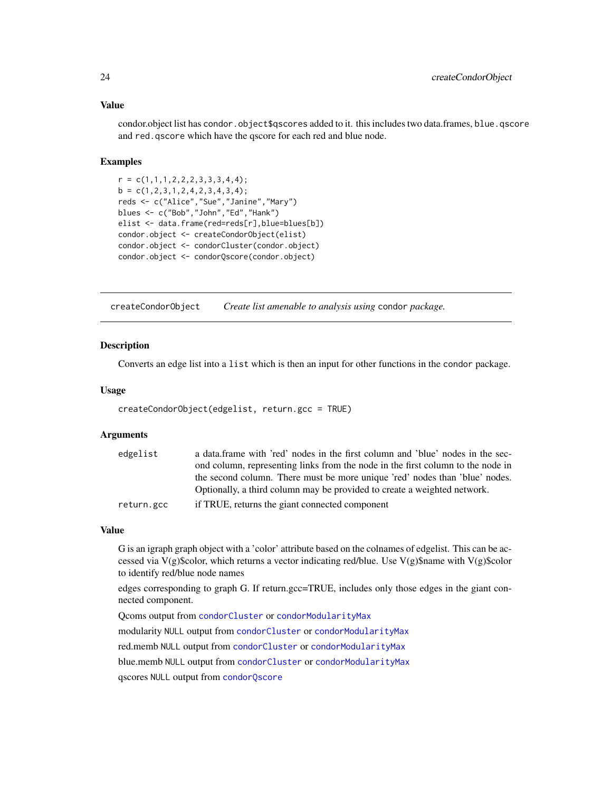## Value

condor.object list has condor.object\$qscores added to it. this includes two data.frames, blue.gscore and red.qscore which have the qscore for each red and blue node.

#### Examples

```
r = c(1,1,1,2,2,2,3,3,3,4,4);b = c(1, 2, 3, 1, 2, 4, 2, 3, 4, 3, 4);reds <- c("Alice","Sue","Janine","Mary")
blues <- c("Bob","John","Ed","Hank")
elist <- data.frame(red=reds[r],blue=blues[b])
condor.object <- createCondorObject(elist)
condor.object <- condorCluster(condor.object)
condor.object <- condorQscore(condor.object)
```
<span id="page-23-1"></span>createCondorObject *Create list amenable to analysis using* condor *package.*

#### Description

Converts an edge list into a list which is then an input for other functions in the condor package.

#### Usage

```
createCondorObject(edgelist, return.gcc = TRUE)
```
#### Arguments

| edgelist   | a data. frame with 'red' nodes in the first column and 'blue' nodes in the sec- |
|------------|---------------------------------------------------------------------------------|
|            | ond column, representing links from the node in the first column to the node in |
|            | the second column. There must be more unique 'red' nodes than 'blue' nodes.     |
|            | Optionally, a third column may be provided to create a weighted network.        |
| return.gcc | if TRUE, returns the giant connected component                                  |

#### Value

G is an igraph graph object with a 'color' attribute based on the colnames of edgelist. This can be accessed via V(g)\$color, which returns a vector indicating red/blue. Use V(g)\$name with V(g)\$color to identify red/blue node names

edges corresponding to graph G. If return.gcc=TRUE, includes only those edges in the giant connected component.

Qcoms output from [condorCluster](#page-16-1) or [condorModularityMax](#page-19-1) modularity NULL output from [condorCluster](#page-16-1) or [condorModularityMax](#page-19-1)

red.memb NULL output from [condorCluster](#page-16-1) or [condorModularityMax](#page-19-1)

blue.memb NULL output from [condorCluster](#page-16-1) or [condorModularityMax](#page-19-1)

qscores NULL output from [condorQscore](#page-22-1)

<span id="page-23-0"></span>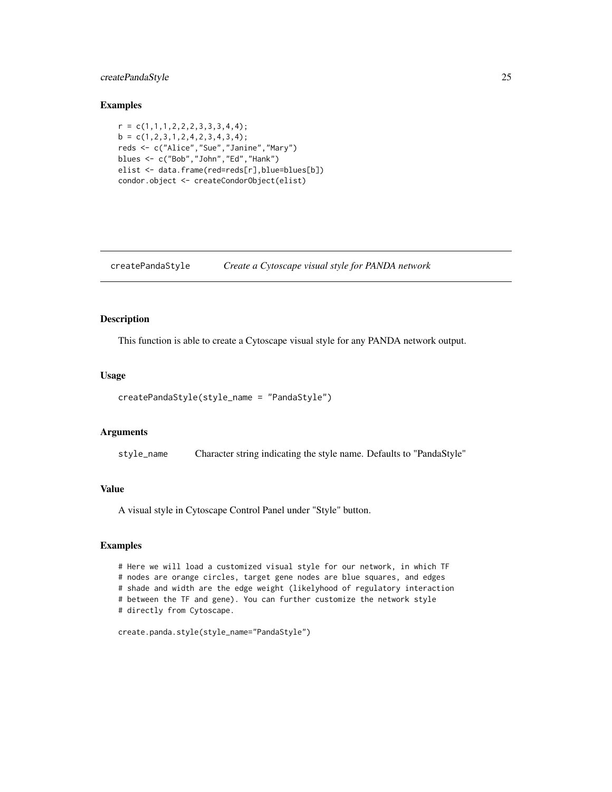## <span id="page-24-0"></span>createPandaStyle 25

#### Examples

```
r = c(1,1,1,2,2,2,3,3,3,4,4);b = c(1, 2, 3, 1, 2, 4, 2, 3, 4, 3, 4);reds <- c("Alice","Sue","Janine","Mary")
blues <- c("Bob","John","Ed","Hank")
elist <- data.frame(red=reds[r],blue=blues[b])
condor.object <- createCondorObject(elist)
```
createPandaStyle *Create a Cytoscape visual style for PANDA network*

#### Description

This function is able to create a Cytoscape visual style for any PANDA network output.

#### Usage

```
createPandaStyle(style_name = "PandaStyle")
```
#### Arguments

style\_name Character string indicating the style name. Defaults to "PandaStyle"

## Value

A visual style in Cytoscape Control Panel under "Style" button.

## Examples

# Here we will load a customized visual style for our network, in which TF # nodes are orange circles, target gene nodes are blue squares, and edges # shade and width are the edge weight (likelyhood of regulatory interaction # between the TF and gene). You can further customize the network style # directly from Cytoscape.

```
create.panda.style(style_name="PandaStyle")
```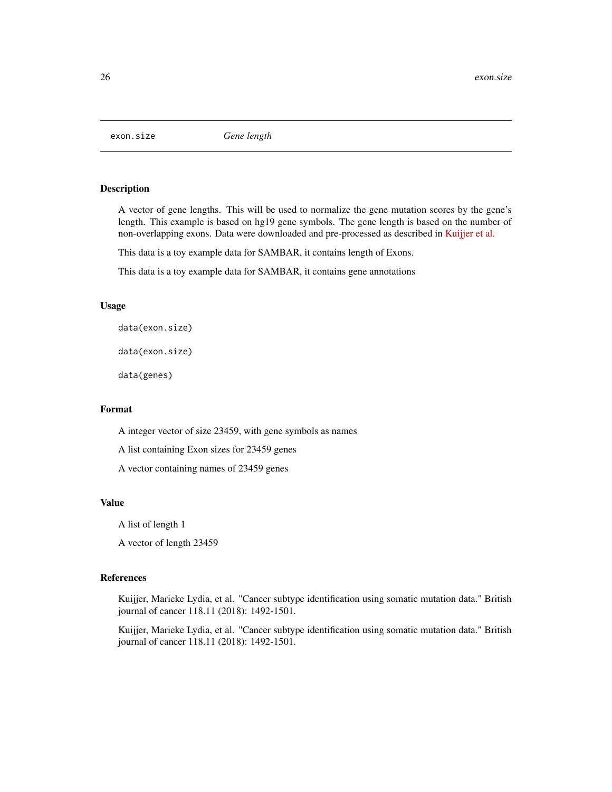<span id="page-25-0"></span>

#### Description

A vector of gene lengths. This will be used to normalize the gene mutation scores by the gene's length. This example is based on hg19 gene symbols. The gene length is based on the number of non-overlapping exons. Data were downloaded and pre-processed as described in [Kuijjer et al.](https://doi.org/10.1101/228031)

This data is a toy example data for SAMBAR, it contains length of Exons.

This data is a toy example data for SAMBAR, it contains gene annotations

#### Usage

data(exon.size)

data(exon.size)

data(genes)

#### Format

A integer vector of size 23459, with gene symbols as names

A list containing Exon sizes for 23459 genes

A vector containing names of 23459 genes

### Value

A list of length 1

A vector of length 23459

## References

Kuijjer, Marieke Lydia, et al. "Cancer subtype identification using somatic mutation data." British journal of cancer 118.11 (2018): 1492-1501.

Kuijjer, Marieke Lydia, et al. "Cancer subtype identification using somatic mutation data." British journal of cancer 118.11 (2018): 1492-1501.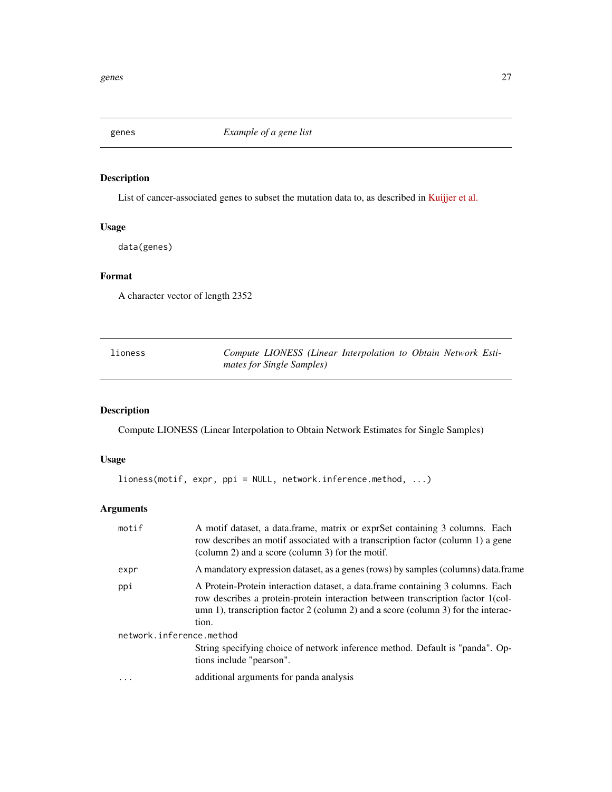<span id="page-26-0"></span>

## Description

List of cancer-associated genes to subset the mutation data to, as described in [Kuijjer et al.](https://doi.org/10.1101/228031)

## Usage

data(genes)

## Format

A character vector of length 2352

| lioness |                           | Compute LIONESS (Linear Interpolation to Obtain Network Esti- |  |  |
|---------|---------------------------|---------------------------------------------------------------|--|--|
|         | mates for Single Samples) |                                                               |  |  |

## Description

Compute LIONESS (Linear Interpolation to Obtain Network Estimates for Single Samples)

## Usage

lioness(motif, expr, ppi = NULL, network.inference.method, ...)

## Arguments

| motif                    | A motif dataset, a data frame, matrix or exprSet containing 3 columns. Each<br>row describes an motif associated with a transcription factor (column 1) a gene<br>(column 2) and a score (column 3) for the motif.                                               |  |
|--------------------------|------------------------------------------------------------------------------------------------------------------------------------------------------------------------------------------------------------------------------------------------------------------|--|
| expr                     | A mandatory expression dataset, as a genes (rows) by samples (columns) data.frame                                                                                                                                                                                |  |
| ppi                      | A Protein-Protein interaction dataset, a data frame containing 3 columns. Each<br>row describes a protein-protein interaction between transcription factor 1 (col-<br>umn 1), transcription factor 2 (column 2) and a score (column 3) for the interac-<br>tion. |  |
| network.inference.method |                                                                                                                                                                                                                                                                  |  |
|                          | String specifying choice of network inference method. Default is "panda". Op-<br>tions include "pearson".                                                                                                                                                        |  |
|                          | additional arguments for panda analysis                                                                                                                                                                                                                          |  |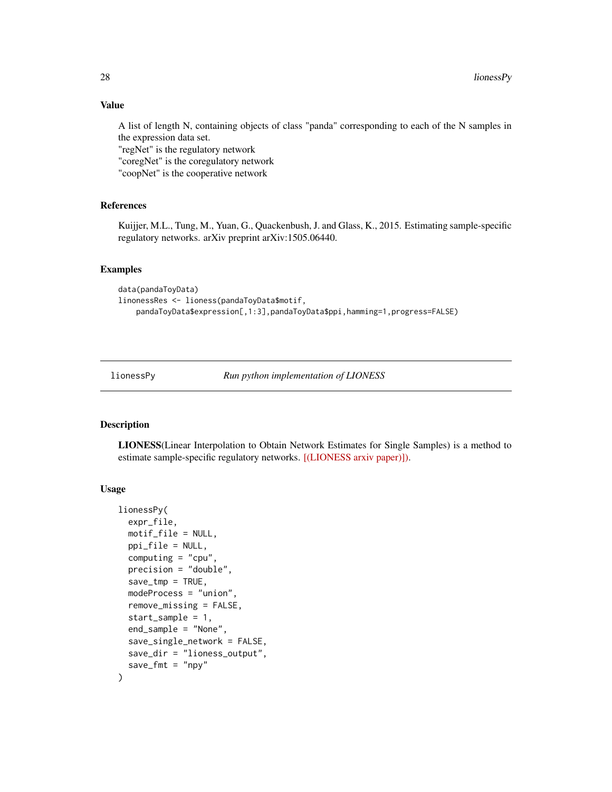## Value

A list of length N, containing objects of class "panda" corresponding to each of the N samples in the expression data set.

"regNet" is the regulatory network

"coregNet" is the coregulatory network

"coopNet" is the cooperative network

## References

Kuijjer, M.L., Tung, M., Yuan, G., Quackenbush, J. and Glass, K., 2015. Estimating sample-specific regulatory networks. arXiv preprint arXiv:1505.06440.

## Examples

```
data(pandaToyData)
linonessRes <- lioness(pandaToyData$motif,
    pandaToyData$expression[,1:3],pandaToyData$ppi,hamming=1,progress=FALSE)
```
lionessPy *Run python implementation of LIONESS*

#### Description

LIONESS(Linear Interpolation to Obtain Network Estimates for Single Samples) is a method to estimate sample-specific regulatory networks. [\[\(LIONESS arxiv paper\)\]\).](https://arxiv.org/abs/1505.06440)

```
lionessPy(
  expr_file,
 motif_file = NULL,
 ppi_file = NULL,
  computing = "cpu",precision = "double",
  save\_tmp = TRUE,modeProcess = "union",
  remove_missing = FALSE,
  start_sample = 1,
  end_sample = "None",
  save_single_network = FALSE,
  save_dir = "lioness_output",
  save\_fmt = "npy")
```
<span id="page-27-0"></span>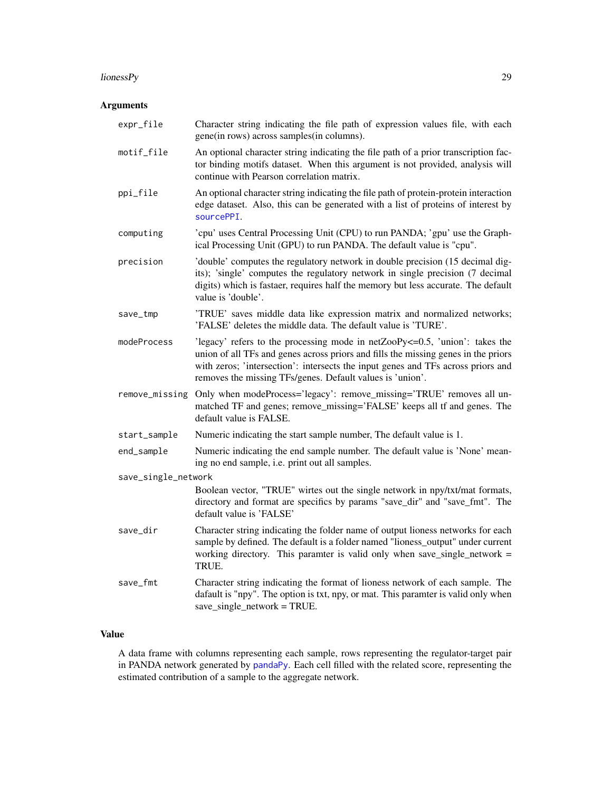#### <span id="page-28-0"></span>lionessPy 29

## Arguments

| expr_file           | Character string indicating the file path of expression values file, with each<br>gene(in rows) across samples(in columns).                                                                                                                                                                                          |  |
|---------------------|----------------------------------------------------------------------------------------------------------------------------------------------------------------------------------------------------------------------------------------------------------------------------------------------------------------------|--|
| motif_file          | An optional character string indicating the file path of a prior transcription fac-<br>tor binding motifs dataset. When this argument is not provided, analysis will<br>continue with Pearson correlation matrix.                                                                                                    |  |
| ppi_file            | An optional character string indicating the file path of protein-protein interaction<br>edge dataset. Also, this can be generated with a list of proteins of interest by<br>sourcePPI.                                                                                                                               |  |
| computing           | 'cpu' uses Central Processing Unit (CPU) to run PANDA; 'gpu' use the Graph-<br>ical Processing Unit (GPU) to run PANDA. The default value is "cpu".                                                                                                                                                                  |  |
| precision           | 'double' computes the regulatory network in double precision (15 decimal dig-<br>its); 'single' computes the regulatory network in single precision (7 decimal<br>digits) which is fastaer, requires half the memory but less accurate. The default<br>value is 'double'.                                            |  |
| save_tmp            | 'TRUE' saves middle data like expression matrix and normalized networks;<br>'FALSE' deletes the middle data. The default value is 'TURE'.                                                                                                                                                                            |  |
| modeProcess         | 'legacy' refers to the processing mode in netZooPy <= 0.5, 'union': takes the<br>union of all TFs and genes across priors and fills the missing genes in the priors<br>with zeros; 'intersection': intersects the input genes and TFs across priors and<br>removes the missing TFs/genes. Default values is 'union'. |  |
| remove_missing      | Only when modeProcess='legacy': remove_missing='TRUE' removes all un-<br>matched TF and genes; remove_missing='FALSE' keeps all tf and genes. The<br>default value is FALSE.                                                                                                                                         |  |
| start_sample        | Numeric indicating the start sample number, The default value is 1.                                                                                                                                                                                                                                                  |  |
| end_sample          | Numeric indicating the end sample number. The default value is 'None' mean-<br>ing no end sample, i.e. print out all samples.                                                                                                                                                                                        |  |
| save_single_network |                                                                                                                                                                                                                                                                                                                      |  |
|                     | Boolean vector, "TRUE" wirtes out the single network in npy/txt/mat formats,<br>directory and format are specifics by params "save_dir" and "save_fmt". The<br>default value is 'FALSE'                                                                                                                              |  |
| save_dir            | Character string indicating the folder name of output lioness networks for each<br>sample by defined. The default is a folder named "lioness_output" under current<br>working directory. This paramter is valid only when save_single_network $=$<br>TRUE.                                                           |  |
| save_fmt            | Character string indicating the format of lioness network of each sample. The<br>dafault is "npy". The option is txt, npy, or mat. This paramter is valid only when<br>$save\_single\_network = TRUE$ .                                                                                                              |  |

## Value

A data frame with columns representing each sample, rows representing the regulator-target pair in PANDA network generated by [pandaPy](#page-43-1). Each cell filled with the related score, representing the estimated contribution of a sample to the aggregate network.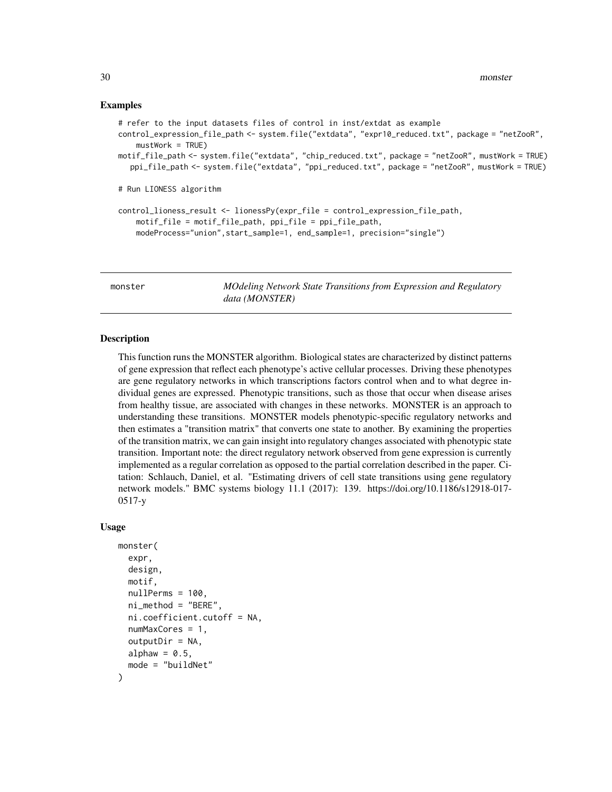#### Examples

```
# refer to the input datasets files of control in inst/extdat as example
control_expression_file_path <- system.file("extdata", "expr10_reduced.txt", package = "netZooR",
    mustWork = TRUE)motif_file_path <- system.file("extdata", "chip_reduced.txt", package = "netZooR", mustWork = TRUE)
  ppi_file_path <- system.file("extdata", "ppi_reduced.txt", package = "netZooR", mustWork = TRUE)
# Run LIONESS algorithm
control_lioness_result <- lionessPy(expr_file = control_expression_file_path,
    motif_file = motif_file_path, ppi_file = ppi_file_path,
   modeProcess="union",start_sample=1, end_sample=1, precision="single")
```
monster *MOdeling Network State Transitions from Expression and Regulatory data (MONSTER)*

#### Description

This function runs the MONSTER algorithm. Biological states are characterized by distinct patterns of gene expression that reflect each phenotype's active cellular processes. Driving these phenotypes are gene regulatory networks in which transcriptions factors control when and to what degree individual genes are expressed. Phenotypic transitions, such as those that occur when disease arises from healthy tissue, are associated with changes in these networks. MONSTER is an approach to understanding these transitions. MONSTER models phenotypic-specific regulatory networks and then estimates a "transition matrix" that converts one state to another. By examining the properties of the transition matrix, we can gain insight into regulatory changes associated with phenotypic state transition. Important note: the direct regulatory network observed from gene expression is currently implemented as a regular correlation as opposed to the partial correlation described in the paper. Citation: Schlauch, Daniel, et al. "Estimating drivers of cell state transitions using gene regulatory network models." BMC systems biology 11.1 (2017): 139. https://doi.org/10.1186/s12918-017- 0517-y

```
monster(
  expr,
  design,
 motif,
  nullPerms = 100,
  ni_method = "BERE",
  ni.coefficient.cutoff = NA,
  numMaxCores = 1,
  outputDir = NA,
  alphaw = 0.5,
  mode = "buildNet"
)
```
<span id="page-29-0"></span>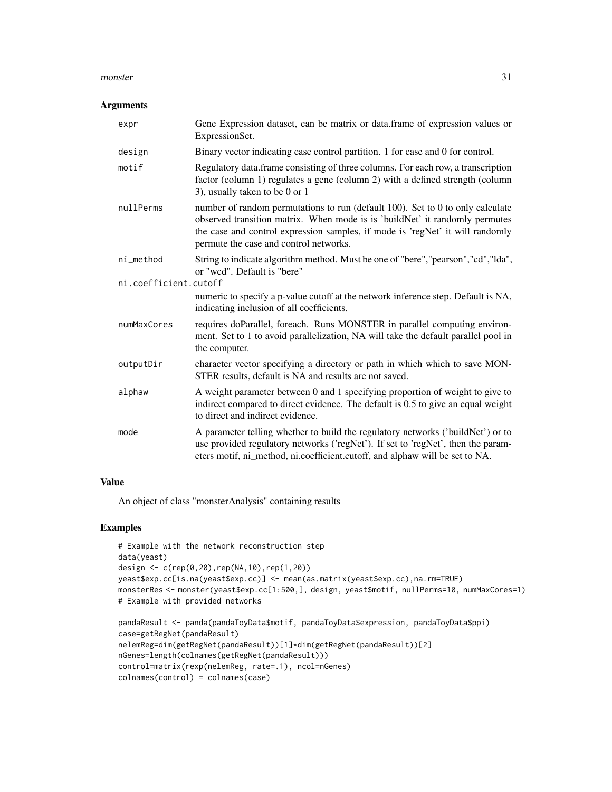#### monster 31

#### Arguments

| expr                  | Gene Expression dataset, can be matrix or data.frame of expression values or<br>ExpressionSet.                                                                                                                                                                                           |
|-----------------------|------------------------------------------------------------------------------------------------------------------------------------------------------------------------------------------------------------------------------------------------------------------------------------------|
| design                | Binary vector indicating case control partition. 1 for case and 0 for control.                                                                                                                                                                                                           |
| motif                 | Regulatory data.frame consisting of three columns. For each row, a transcription<br>factor (column 1) regulates a gene (column 2) with a defined strength (column<br>3), usually taken to be 0 or 1                                                                                      |
| nullPerms             | number of random permutations to run (default 100). Set to 0 to only calculate<br>observed transition matrix. When mode is is 'buildNet' it randomly permutes<br>the case and control expression samples, if mode is 'regNet' it will randomly<br>permute the case and control networks. |
| ni_method             | String to indicate algorithm method. Must be one of "bere", "pearson", "cd", "lda",<br>or "wcd". Default is "bere"                                                                                                                                                                       |
| ni.coefficient.cutoff |                                                                                                                                                                                                                                                                                          |
|                       | numeric to specify a p-value cutoff at the network inference step. Default is NA,<br>indicating inclusion of all coefficients.                                                                                                                                                           |
| numMaxCores           | requires doParallel, foreach. Runs MONSTER in parallel computing environ-<br>ment. Set to 1 to avoid parallelization, NA will take the default parallel pool in<br>the computer.                                                                                                         |
| outputDir             | character vector specifying a directory or path in which which to save MON-<br>STER results, default is NA and results are not saved.                                                                                                                                                    |
| alphaw                | A weight parameter between 0 and 1 specifying proportion of weight to give to<br>indirect compared to direct evidence. The default is 0.5 to give an equal weight<br>to direct and indirect evidence.                                                                                    |
| mode                  | A parameter telling whether to build the regulatory networks ('buildNet') or to<br>use provided regulatory networks ('regNet'). If set to 'regNet', then the param-<br>eters motif, ni_method, ni.coefficient.cutoff, and alphaw will be set to NA.                                      |

#### Value

An object of class "monsterAnalysis" containing results

## Examples

```
# Example with the network reconstruction step
data(yeast)
design <- c(rep(0,20),rep(NA,10),rep(1,20))
yeast$exp.cc[is.na(yeast$exp.cc)] <- mean(as.matrix(yeast$exp.cc),na.rm=TRUE)
monsterRes <- monster(yeast$exp.cc[1:500,], design, yeast$motif, nullPerms=10, numMaxCores=1)
# Example with provided networks
```

```
pandaResult <- panda(pandaToyData$motif, pandaToyData$expression, pandaToyData$ppi)
case=getRegNet(pandaResult)
nelemReg=dim(getRegNet(pandaResult))[1]*dim(getRegNet(pandaResult))[2]
nGenes=length(colnames(getRegNet(pandaResult)))
control=matrix(rexp(nelemReg, rate=.1), ncol=nGenes)
colnames(control) = colnames(case)
```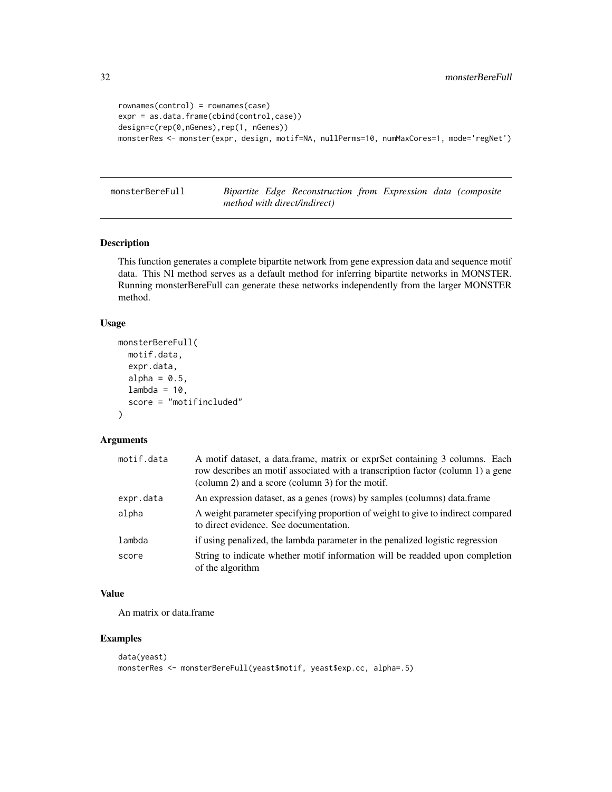```
rownames(control) = rownames(case)
expr = as.data.frame(cbind(control,case))
design=c(rep(0,nGenes),rep(1, nGenes))
monsterRes <- monster(expr, design, motif=NA, nullPerms=10, numMaxCores=1, mode='regNet')
```
monsterBereFull *Bipartite Edge Reconstruction from Expression data (composite method with direct/indirect)*

## Description

This function generates a complete bipartite network from gene expression data and sequence motif data. This NI method serves as a default method for inferring bipartite networks in MONSTER. Running monsterBereFull can generate these networks independently from the larger MONSTER method.

### Usage

```
monsterBereFull(
  motif.data,
  expr.data,
  alpha = 0.5,
  lambda = 10,
  score = "motifincluded"
\lambda
```
### Arguments

| motif.data | A motif dataset, a data.frame, matrix or exprSet containing 3 columns. Each<br>row describes an motif associated with a transcription factor (column 1) a gene<br>(column 2) and a score (column 3) for the motif. |
|------------|--------------------------------------------------------------------------------------------------------------------------------------------------------------------------------------------------------------------|
| expr.data  | An expression dataset, as a genes (rows) by samples (columns) data.frame                                                                                                                                           |
| alpha      | A weight parameter specifying proportion of weight to give to indirect compared<br>to direct evidence. See documentation.                                                                                          |
| lambda     | if using penalized, the lambda parameter in the penalized logistic regression                                                                                                                                      |
| score      | String to indicate whether motif information will be readded upon completion<br>of the algorithm                                                                                                                   |

## Value

An matrix or data.frame

## Examples

```
data(yeast)
monsterRes <- monsterBereFull(yeast$motif, yeast$exp.cc, alpha=.5)
```
<span id="page-31-0"></span>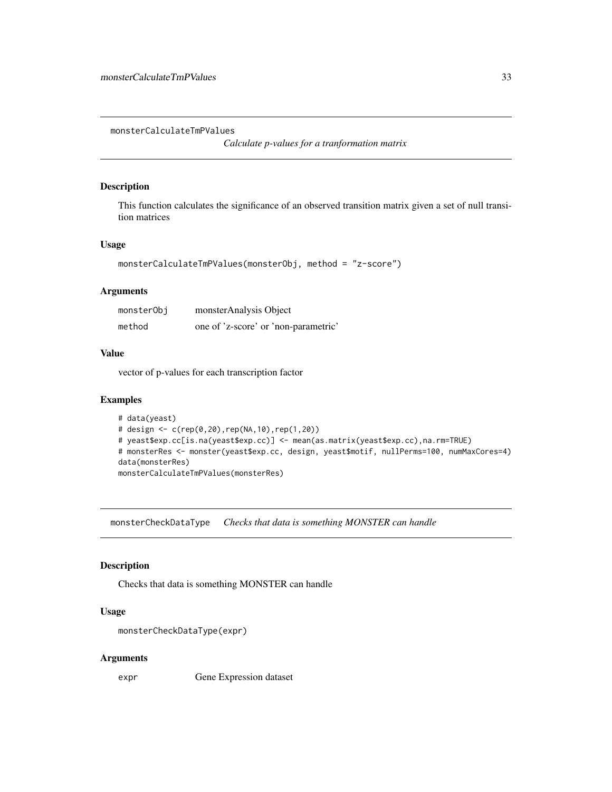<span id="page-32-0"></span>monsterCalculateTmPValues

*Calculate p-values for a tranformation matrix*

## Description

This function calculates the significance of an observed transition matrix given a set of null transition matrices

#### Usage

```
monsterCalculateTmPValues(monsterObj, method = "z-score")
```
## Arguments

| monsterObi | monsterAnalysis Object               |
|------------|--------------------------------------|
| method     | one of 'z-score' or 'non-parametric' |

#### Value

vector of p-values for each transcription factor

#### Examples

```
# data(yeast)
# design <- c(rep(0,20),rep(NA,10),rep(1,20))
# yeast$exp.cc[is.na(yeast$exp.cc)] <- mean(as.matrix(yeast$exp.cc),na.rm=TRUE)
# monsterRes <- monster(yeast$exp.cc, design, yeast$motif, nullPerms=100, numMaxCores=4)
data(monsterRes)
monsterCalculateTmPValues(monsterRes)
```
monsterCheckDataType *Checks that data is something MONSTER can handle*

#### Description

Checks that data is something MONSTER can handle

#### Usage

```
monsterCheckDataType(expr)
```
#### Arguments

expr Gene Expression dataset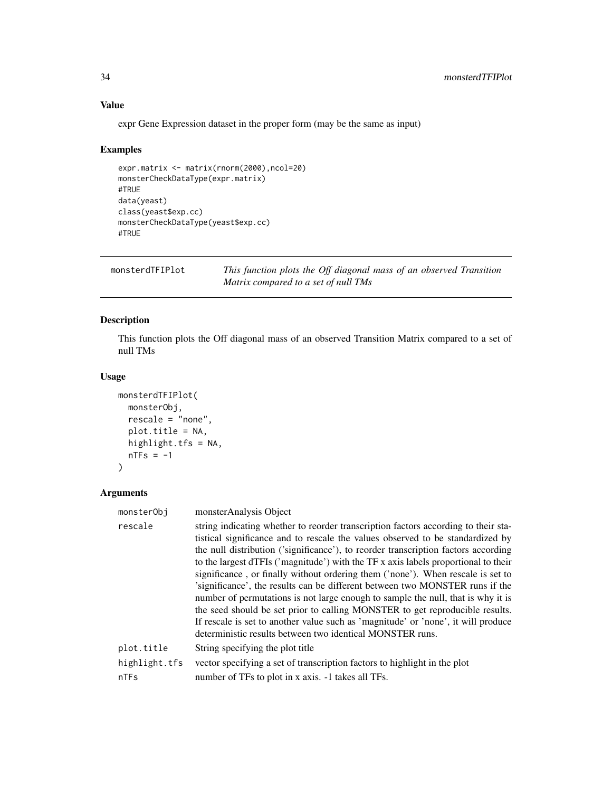## Value

expr Gene Expression dataset in the proper form (may be the same as input)

#### Examples

```
expr.matrix <- matrix(rnorm(2000),ncol=20)
monsterCheckDataType(expr.matrix)
#TRUE
data(yeast)
class(yeast$exp.cc)
monsterCheckDataType(yeast$exp.cc)
#TRUE
```
monsterdTFIPlot *This function plots the Off diagonal mass of an observed Transition Matrix compared to a set of null TMs*

## **Description**

This function plots the Off diagonal mass of an observed Transition Matrix compared to a set of null TMs

#### Usage

```
monsterdTFIPlot(
 monsterObj,
  rescale = "none",
 plot.title = NA,
 highlight.tfs = NA,
  nTFs = -1)
```
#### Arguments

```
monsterObj monsterAnalysis Object
rescale string indicating whether to reorder transcription factors according to their sta-
                  tistical significance and to rescale the values observed to be standardized by
                  the null distribution ('significance'), to reorder transcription factors according
                  to the largest dTFIs ('magnitude') with the TF x axis labels proportional to their
                  significance , or finally without ordering them ('none'). When rescale is set to
                  'significance', the results can be different between two MONSTER runs if the
                  number of permutations is not large enough to sample the null, that is why it is
                  the seed should be set prior to calling MONSTER to get reproducible results.
                  If rescale is set to another value such as 'magnitude' or 'none', it will produce
                  deterministic results between two identical MONSTER runs.
plot.title String specifying the plot title
highlight.tfs vector specifying a set of transcription factors to highlight in the plot
nTFs number of TFs to plot in x axis. -1 takes all TFs.
```
<span id="page-33-0"></span>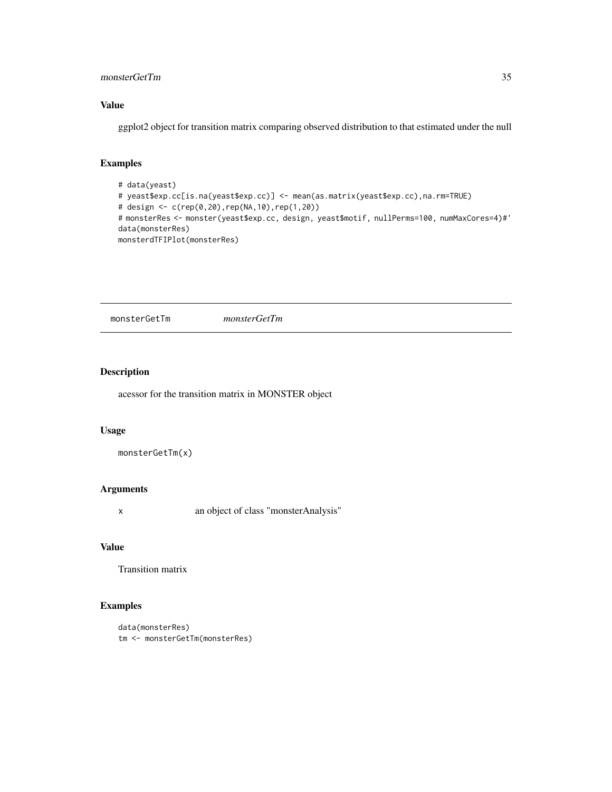## <span id="page-34-0"></span>monsterGetTm 35

## Value

ggplot2 object for transition matrix comparing observed distribution to that estimated under the null

## Examples

```
# data(yeast)
# yeast$exp.cc[is.na(yeast$exp.cc)] <- mean(as.matrix(yeast$exp.cc),na.rm=TRUE)
# design <- c(rep(0,20),rep(NA,10),rep(1,20))
# monsterRes <- monster(yeast$exp.cc, design, yeast$motif, nullPerms=100, numMaxCores=4)#'
data(monsterRes)
monsterdTFIPlot(monsterRes)
```
monsterGetTm *monsterGetTm*

#### Description

acessor for the transition matrix in MONSTER object

### Usage

```
monsterGetTm(x)
```
## Arguments

x an object of class "monsterAnalysis"

#### Value

Transition matrix

## Examples

```
data(monsterRes)
tm <- monsterGetTm(monsterRes)
```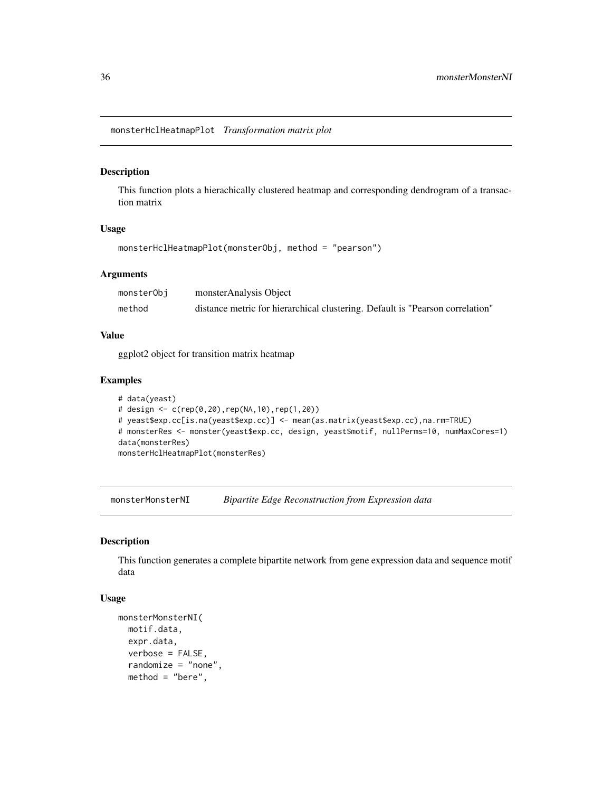<span id="page-35-0"></span>monsterHclHeatmapPlot *Transformation matrix plot*

#### Description

This function plots a hierachically clustered heatmap and corresponding dendrogram of a transaction matrix

#### Usage

```
monsterHclHeatmapPlot(monsterObj, method = "pearson")
```
## Arguments

| monsterObj | monsterAnalysis Object                                                        |
|------------|-------------------------------------------------------------------------------|
| method     | distance metric for hierarchical clustering. Default is "Pearson correlation" |

## Value

ggplot2 object for transition matrix heatmap

## Examples

```
# data(yeast)
# design <- c(rep(0,20),rep(NA,10),rep(1,20))
# yeast$exp.cc[is.na(yeast$exp.cc)] <- mean(as.matrix(yeast$exp.cc),na.rm=TRUE)
# monsterRes <- monster(yeast$exp.cc, design, yeast$motif, nullPerms=10, numMaxCores=1)
data(monsterRes)
monsterHclHeatmapPlot(monsterRes)
```
monsterMonsterNI *Bipartite Edge Reconstruction from Expression data*

#### Description

This function generates a complete bipartite network from gene expression data and sequence motif data

```
monsterMonsterNI(
 motif.data,
  expr.data,
  verbose = FALSE,
  randomize = "none",
  method = "bere",
```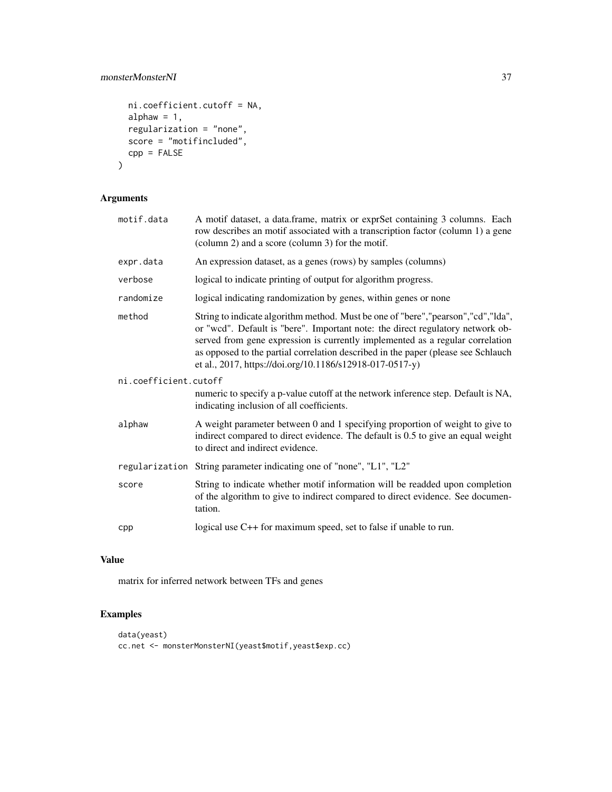## monsterMonsterNI 37

```
ni.coefficient.cutoff = NA,
 alphaw = 1,
 regularization = "none",
 score = "motifincluded",
 cpp = FALSE\mathcal{L}
```
## Arguments

| motif.data            | A motif dataset, a data.frame, matrix or exprSet containing 3 columns. Each<br>row describes an motif associated with a transcription factor (column 1) a gene<br>(column 2) and a score (column 3) for the motif.                                                                                                                                                                                   |  |
|-----------------------|------------------------------------------------------------------------------------------------------------------------------------------------------------------------------------------------------------------------------------------------------------------------------------------------------------------------------------------------------------------------------------------------------|--|
| expr.data             | An expression dataset, as a genes (rows) by samples (columns)                                                                                                                                                                                                                                                                                                                                        |  |
| verbose               | logical to indicate printing of output for algorithm progress.                                                                                                                                                                                                                                                                                                                                       |  |
| randomize             | logical indicating randomization by genes, within genes or none                                                                                                                                                                                                                                                                                                                                      |  |
| method                | String to indicate algorithm method. Must be one of "bere","pearson","cd","lda",<br>or "wcd". Default is "bere". Important note: the direct regulatory network ob-<br>served from gene expression is currently implemented as a regular correlation<br>as opposed to the partial correlation described in the paper (please see Schlauch<br>et al., 2017, https://doi.org/10.1186/s12918-017-0517-y) |  |
| ni.coefficient.cutoff |                                                                                                                                                                                                                                                                                                                                                                                                      |  |
|                       | numeric to specify a p-value cutoff at the network inference step. Default is NA,<br>indicating inclusion of all coefficients.                                                                                                                                                                                                                                                                       |  |
| alphaw                | A weight parameter between 0 and 1 specifying proportion of weight to give to<br>indirect compared to direct evidence. The default is 0.5 to give an equal weight<br>to direct and indirect evidence.                                                                                                                                                                                                |  |
|                       | regularization String parameter indicating one of "none", "L1", "L2"                                                                                                                                                                                                                                                                                                                                 |  |
| score                 | String to indicate whether motif information will be readded upon completion<br>of the algorithm to give to indirect compared to direct evidence. See documen-<br>tation.                                                                                                                                                                                                                            |  |
| cpp                   | logical use C++ for maximum speed, set to false if unable to run.                                                                                                                                                                                                                                                                                                                                    |  |

## Value

matrix for inferred network between TFs and genes

## Examples

```
data(yeast)
cc.net <- monsterMonsterNI(yeast$motif,yeast$exp.cc)
```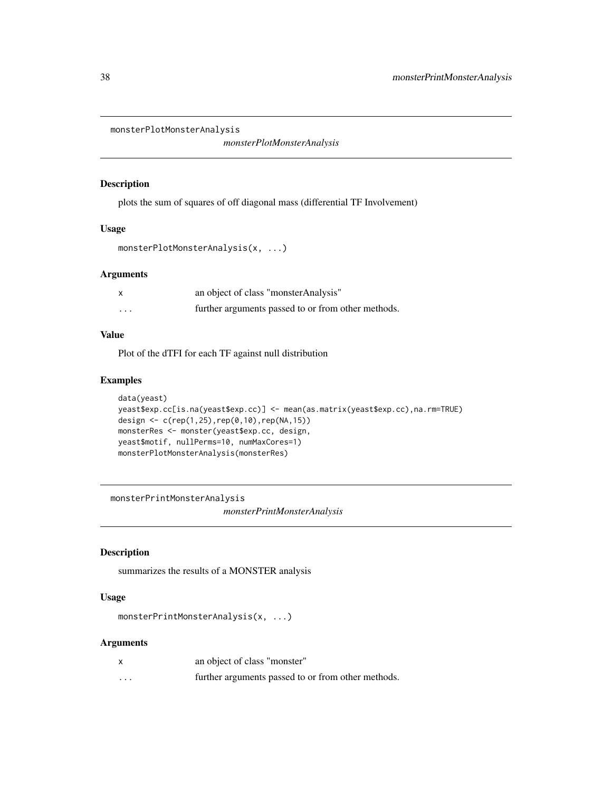```
monsterPlotMonsterAnalysis
```
*monsterPlotMonsterAnalysis*

## Description

plots the sum of squares of off diagonal mass (differential TF Involvement)

### Usage

```
monsterPlotMonsterAnalysis(x, ...)
```
## Arguments

|                         | an object of class "monster Analysis"              |
|-------------------------|----------------------------------------------------|
| $\cdot$ $\cdot$ $\cdot$ | further arguments passed to or from other methods. |

## Value

Plot of the dTFI for each TF against null distribution

## Examples

```
data(yeast)
yeast$exp.cc[is.na(yeast$exp.cc)] <- mean(as.matrix(yeast$exp.cc),na.rm=TRUE)
design <- c(rep(1,25),rep(0,10),rep(NA,15))
monsterRes <- monster(yeast$exp.cc, design,
yeast$motif, nullPerms=10, numMaxCores=1)
monsterPlotMonsterAnalysis(monsterRes)
```
monsterPrintMonsterAnalysis

*monsterPrintMonsterAnalysis*

## Description

summarizes the results of a MONSTER analysis

## Usage

```
monsterPrintMonsterAnalysis(x, ...)
```
## Arguments

| x        | an object of class "monster"                       |
|----------|----------------------------------------------------|
| $\cdots$ | further arguments passed to or from other methods. |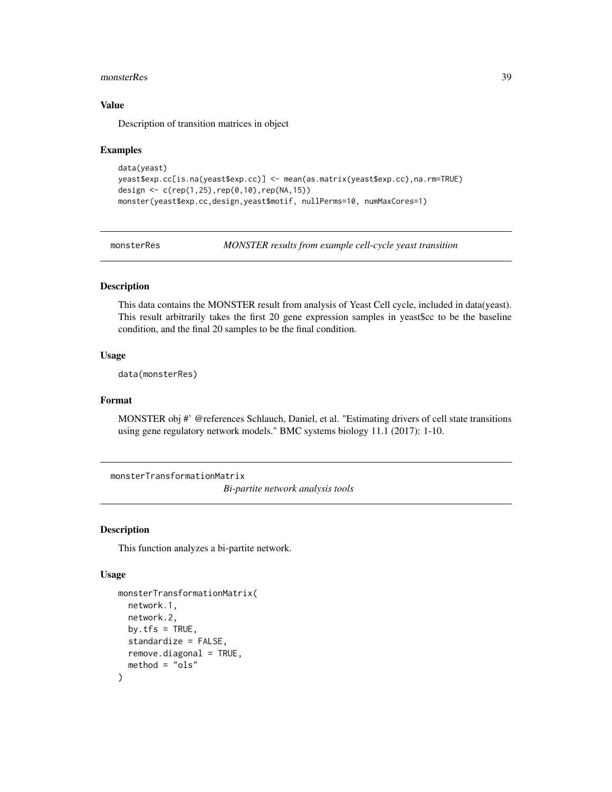#### <span id="page-38-0"></span>monsterRes 39

## Value

Description of transition matrices in object

#### Examples

```
data(yeast)
yeast$exp.cc[is.na(yeast$exp.cc)] <- mean(as.matrix(yeast$exp.cc),na.rm=TRUE)
design <- c(rep(1,25),rep(0,10),rep(NA,15))
monster(yeast$exp.cc,design,yeast$motif, nullPerms=10, numMaxCores=1)
```
monsterRes *MONSTER results from example cell-cycle yeast transition*

## Description

This data contains the MONSTER result from analysis of Yeast Cell cycle, included in data(yeast). This result arbitrarily takes the first 20 gene expression samples in yeast\$cc to be the baseline condition, and the final 20 samples to be the final condition.

#### Usage

data(monsterRes)

#### Format

MONSTER obj #' @references Schlauch, Daniel, et al. "Estimating drivers of cell state transitions using gene regulatory network models." BMC systems biology 11.1 (2017): 1-10.

monsterTransformationMatrix

*Bi-partite network analysis tools*

#### Description

This function analyzes a bi-partite network.

```
monsterTransformationMatrix(
  network.1,
 network.2,
 by.tfs = TRUE,
  standardize = FALSE,
  remove.diagonal = TRUE,
 method = "ols")
```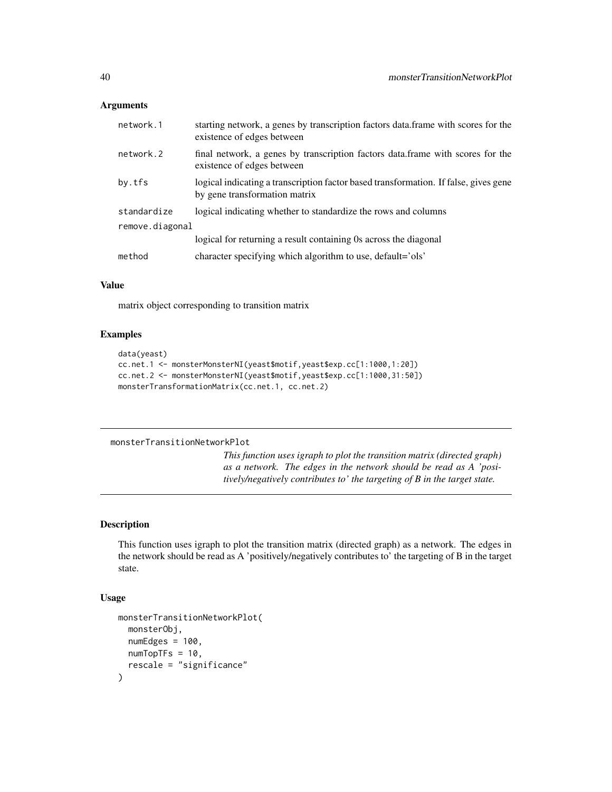#### <span id="page-39-0"></span>**Arguments**

| network.1       | starting network, a genes by transcription factors data. frame with scores for the<br>existence of edges between      |
|-----------------|-----------------------------------------------------------------------------------------------------------------------|
| network.2       | final network, a genes by transcription factors data. frame with scores for the<br>existence of edges between         |
| by.tfs          | logical indicating a transcription factor based transformation. If false, gives gene<br>by gene transformation matrix |
| standardize     | logical indicating whether to standardize the rows and columns                                                        |
| remove.diagonal |                                                                                                                       |
|                 | logical for returning a result containing 0s across the diagonal                                                      |
| method          | character specifying which algorithm to use, default='ols'                                                            |

## Value

matrix object corresponding to transition matrix

## Examples

```
data(yeast)
cc.net.1 <- monsterMonsterNI(yeast$motif,yeast$exp.cc[1:1000,1:20])
cc.net.2 <- monsterMonsterNI(yeast$motif,yeast$exp.cc[1:1000,31:50])
monsterTransformationMatrix(cc.net.1, cc.net.2)
```
#### monsterTransitionNetworkPlot

*This function uses igraph to plot the transition matrix (directed graph) as a network. The edges in the network should be read as A 'positively/negatively contributes to' the targeting of B in the target state.*

#### Description

This function uses igraph to plot the transition matrix (directed graph) as a network. The edges in the network should be read as A 'positively/negatively contributes to' the targeting of B in the target state.

```
monsterTransitionNetworkPlot(
 monsterObj,
  numEdges = 100,
 numTopTFs = 10,
  rescale = "significance"
)
```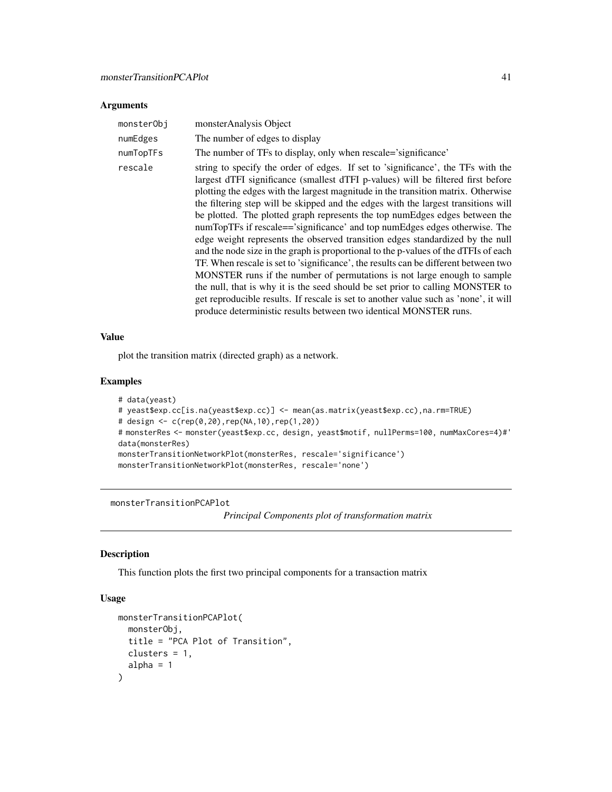## <span id="page-40-0"></span>Arguments

| monsterObj | monsterAnalysis Object                                                                                                                                                                                                                                                                                                                                                                                                                                                                                                                                                                                                                                                                                                                                                                                                                                                                                                                                                                                                                                                                                 |
|------------|--------------------------------------------------------------------------------------------------------------------------------------------------------------------------------------------------------------------------------------------------------------------------------------------------------------------------------------------------------------------------------------------------------------------------------------------------------------------------------------------------------------------------------------------------------------------------------------------------------------------------------------------------------------------------------------------------------------------------------------------------------------------------------------------------------------------------------------------------------------------------------------------------------------------------------------------------------------------------------------------------------------------------------------------------------------------------------------------------------|
| numEdges   | The number of edges to display                                                                                                                                                                                                                                                                                                                                                                                                                                                                                                                                                                                                                                                                                                                                                                                                                                                                                                                                                                                                                                                                         |
| numTopTFs  | The number of TFs to display, only when rescale='significance'                                                                                                                                                                                                                                                                                                                                                                                                                                                                                                                                                                                                                                                                                                                                                                                                                                                                                                                                                                                                                                         |
| rescale    | string to specify the order of edges. If set to 'significance', the TFs with the<br>largest dTFI significance (smallest dTFI p-values) will be filtered first before<br>plotting the edges with the largest magnitude in the transition matrix. Otherwise<br>the filtering step will be skipped and the edges with the largest transitions will<br>be plotted. The plotted graph represents the top numEdges edges between the<br>numTopTFs if rescale=='significance' and top numEdges edges otherwise. The<br>edge weight represents the observed transition edges standardized by the null<br>and the node size in the graph is proportional to the p-values of the dTFIs of each<br>TF. When rescale is set to 'significance', the results can be different between two<br>MONSTER runs if the number of permutations is not large enough to sample<br>the null, that is why it is the seed should be set prior to calling MONSTER to<br>get reproducible results. If rescale is set to another value such as 'none', it will<br>produce deterministic results between two identical MONSTER runs. |

## Value

plot the transition matrix (directed graph) as a network.

## Examples

```
# data(yeast)
# yeast$exp.cc[is.na(yeast$exp.cc)] <- mean(as.matrix(yeast$exp.cc),na.rm=TRUE)
# design <- c(rep(0,20),rep(NA,10),rep(1,20))
# monsterRes <- monster(yeast$exp.cc, design, yeast$motif, nullPerms=100, numMaxCores=4)#'
data(monsterRes)
monsterTransitionNetworkPlot(monsterRes, rescale='significance')
monsterTransitionNetworkPlot(monsterRes, rescale='none')
```
monsterTransitionPCAPlot

*Principal Components plot of transformation matrix*

### Description

This function plots the first two principal components for a transaction matrix

```
monsterTransitionPCAPlot(
 monsterObj,
 title = "PCA Plot of Transition",
 clusters = 1,
 alpha = 1)
```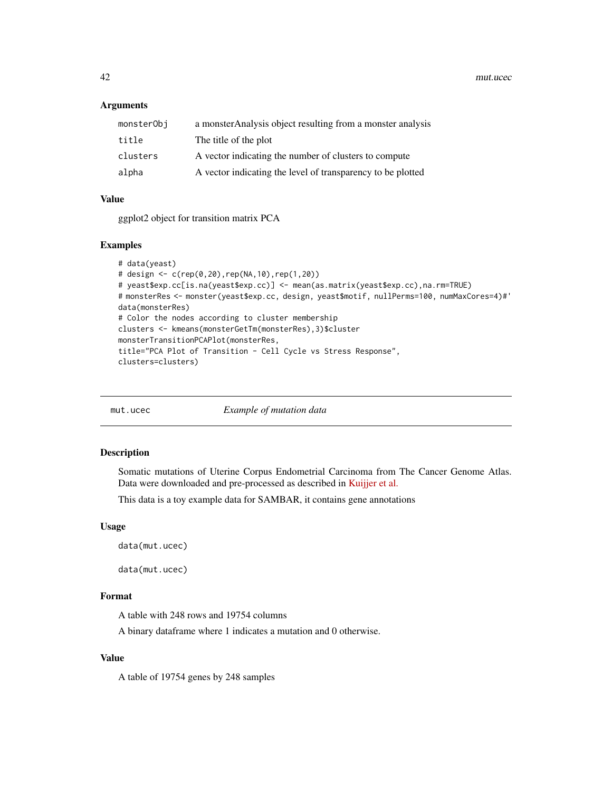<span id="page-41-0"></span>42 mut.ucec

### Arguments

| monsterObj | a monster Analysis object resulting from a monster analysis |
|------------|-------------------------------------------------------------|
| title      | The title of the plot                                       |
| clusters   | A vector indicating the number of clusters to compute       |
| alpha      | A vector indicating the level of transparency to be plotted |

## Value

ggplot2 object for transition matrix PCA

#### Examples

```
# data(yeast)
# design <- c(rep(0,20),rep(NA,10),rep(1,20))
# yeast$exp.cc[is.na(yeast$exp.cc)] <- mean(as.matrix(yeast$exp.cc),na.rm=TRUE)
# monsterRes <- monster(yeast$exp.cc, design, yeast$motif, nullPerms=100, numMaxCores=4)#'
data(monsterRes)
# Color the nodes according to cluster membership
clusters <- kmeans(monsterGetTm(monsterRes),3)$cluster
monsterTransitionPCAPlot(monsterRes,
title="PCA Plot of Transition - Cell Cycle vs Stress Response",
clusters=clusters)
```

| mut.ucec |  |  |
|----------|--|--|
|          |  |  |

**Example of mutation data** 

## Description

Somatic mutations of Uterine Corpus Endometrial Carcinoma from The Cancer Genome Atlas. Data were downloaded and pre-processed as described in [Kuijjer et al.](https://doi.org/10.1101/228031)

This data is a toy example data for SAMBAR, it contains gene annotations

### Usage

```
data(mut.ucec)
```
data(mut.ucec)

## Format

A table with 248 rows and 19754 columns

A binary dataframe where 1 indicates a mutation and 0 otherwise.

## Value

A table of 19754 genes by 248 samples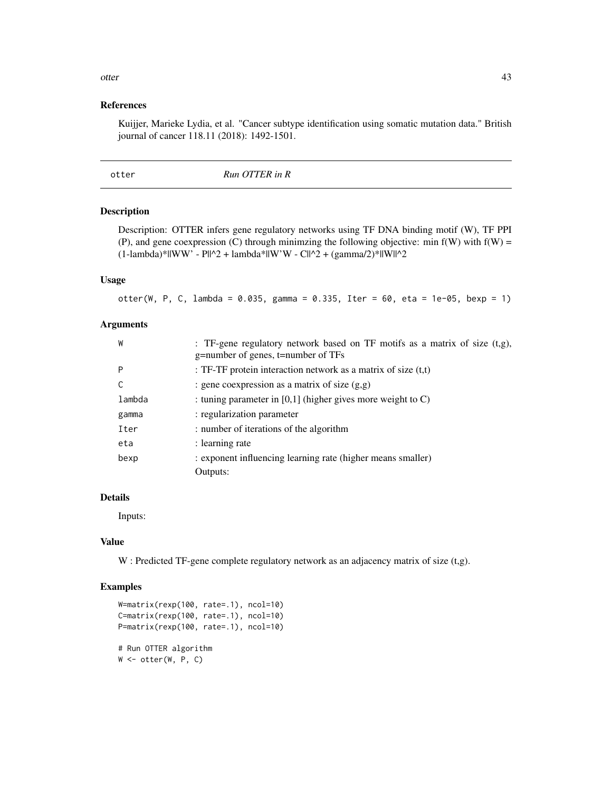## <span id="page-42-0"></span>References

Kuijjer, Marieke Lydia, et al. "Cancer subtype identification using somatic mutation data." British journal of cancer 118.11 (2018): 1492-1501.

#### Description

Description: OTTER infers gene regulatory networks using TF DNA binding motif (W), TF PPI (P), and gene coexpression (C) through minimizing the following objective: min  $f(W)$  with  $f(W)$  =  $(1$ -lambda)\*||WW' - P||^2 + lambda\*||W'W - C||^2 + (gamma/2)\*||W||^2

## Usage

otter(W, P, C, lambda = 0.035, gamma = 0.335, Iter = 60, eta = 1e-05, bexp = 1)

## Arguments

| W      | : TF-gene regulatory network based on TF motifs as a matrix of size $(t, g)$ ,<br>g=number of genes, t=number of TFs |
|--------|----------------------------------------------------------------------------------------------------------------------|
| P      | : TF-TF protein interaction network as a matrix of size $(t,t)$                                                      |
| C      | : gene coexpression as a matrix of size $(g, g)$                                                                     |
| lambda | : tuning parameter in $[0,1]$ (higher gives more weight to C)                                                        |
| gamma  | : regularization parameter                                                                                           |
| Iter   | : number of iterations of the algorithm                                                                              |
| eta    | : learning rate                                                                                                      |
| bexp   | : exponent influencing learning rate (higher means smaller)                                                          |
|        | Outputs:                                                                                                             |

## Details

Inputs:

#### Value

W : Predicted TF-gene complete regulatory network as an adjacency matrix of size (t,g).

### Examples

```
W=matrix(rexp(100, rate=.1), ncol=10)
C=matrix(rexp(100, rate=.1), ncol=10)
P=matrix(rexp(100, rate=.1), ncol=10)
# Run OTTER algorithm
W \leftarrow \text{other}(W, P, C)
```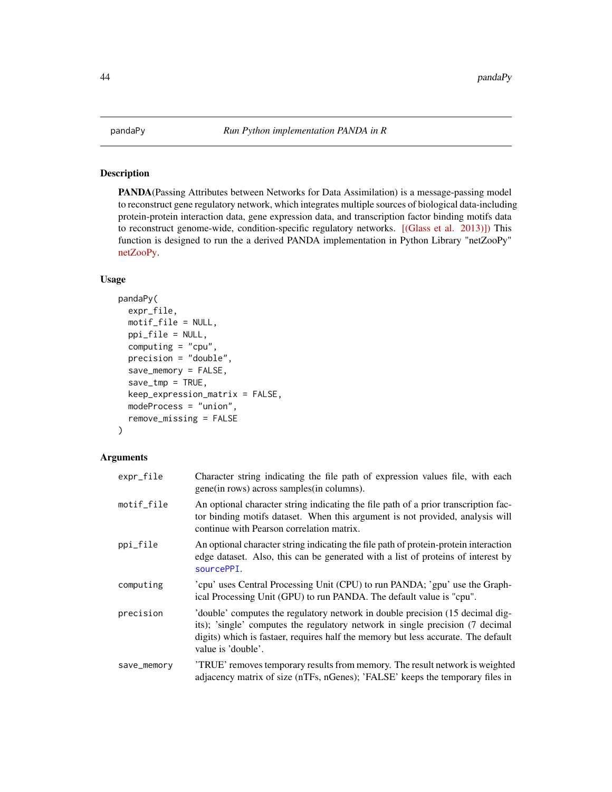<span id="page-43-1"></span><span id="page-43-0"></span>

## Description

PANDA(Passing Attributes between Networks for Data Assimilation) is a message-passing model to reconstruct gene regulatory network, which integrates multiple sources of biological data-including protein-protein interaction data, gene expression data, and transcription factor binding motifs data to reconstruct genome-wide, condition-specific regulatory networks. [\[\(Glass et al. 2013\)\]\)](http://journals.plos.org/plosone/article?id=10.1371/journal.pone.0064832) This function is designed to run the a derived PANDA implementation in Python Library "netZooPy" [netZooPy.](https://github.com/netZoo/netZooPy)

## Usage

```
pandaPy(
  expr_file,
 motif_file = NULL,
 ppi_file = NULL,
  computing = "cpu",
  precision = "double",
  save_memory = FALSE,
  save\_tmp = TRUE,keep_expression_matrix = FALSE,
  modeProcess = "union",
  remove_missing = FALSE
)
```
## Arguments

| expr_file   | Character string indicating the file path of expression values file, with each<br>gene (in rows) across samples (in columns).                                                                                                                                             |
|-------------|---------------------------------------------------------------------------------------------------------------------------------------------------------------------------------------------------------------------------------------------------------------------------|
| motif_file  | An optional character string indicating the file path of a prior transcription fac-<br>tor binding motifs dataset. When this argument is not provided, analysis will<br>continue with Pearson correlation matrix.                                                         |
| ppi_file    | An optional character string indicating the file path of protein-protein interaction<br>edge dataset. Also, this can be generated with a list of proteins of interest by<br>sourcePPI.                                                                                    |
| computing   | 'cpu' uses Central Processing Unit (CPU) to run PANDA; 'gpu' use the Graph-<br>ical Processing Unit (GPU) to run PANDA. The default value is "cpu".                                                                                                                       |
| precision   | 'double' computes the regulatory network in double precision (15 decimal dig-<br>its); 'single' computes the regulatory network in single precision (7 decimal<br>digits) which is fastaer, requires half the memory but less accurate. The default<br>value is 'double'. |
| save_memory | 'TRUE' removes temporary results from memory. The result network is weighted<br>adjacency matrix of size (nTFs, nGenes); 'FALSE' keeps the temporary files in                                                                                                             |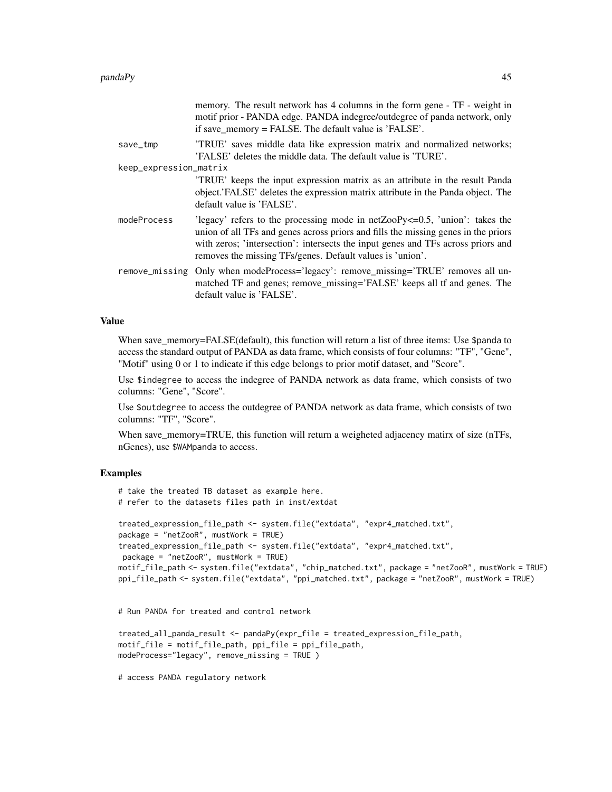| memory. The result network has 4 columns in the form gene - TF - weight in<br>motif prior - PANDA edge. PANDA indegree/outdegree of panda network, only<br>if save_memory = FALSE. The default value is 'FALSE'.                                                                                                         |
|--------------------------------------------------------------------------------------------------------------------------------------------------------------------------------------------------------------------------------------------------------------------------------------------------------------------------|
| 'TRUE' saves middle data like expression matrix and normalized networks;<br>'FALSE' deletes the middle data. The default value is 'TURE'.                                                                                                                                                                                |
| keep_expression_matrix                                                                                                                                                                                                                                                                                                   |
| TRUE keeps the input expression matrix as an attribute in the result Panda<br>object. FALSE' deletes the expression matrix attribute in the Panda object. The<br>default value is 'FALSE'.                                                                                                                               |
| 'legacy' refers to the processing mode in $netZooPy \le 0.5$ , 'union': takes the<br>union of all TFs and genes across priors and fills the missing genes in the priors<br>with zeros; 'intersection': intersects the input genes and TFs across priors and<br>removes the missing TFs/genes. Default values is 'union'. |
| Only when modeProcess='legacy': remove_missing='TRUE' removes all un-<br>matched TF and genes; remove_missing='FALSE' keeps all tf and genes. The<br>default value is 'FALSE'.                                                                                                                                           |
|                                                                                                                                                                                                                                                                                                                          |

#### Value

When save\_memory=FALSE(default), this function will return a list of three items: Use \$panda to access the standard output of PANDA as data frame, which consists of four columns: "TF", "Gene", "Motif" using 0 or 1 to indicate if this edge belongs to prior motif dataset, and "Score".

Use \$indegree to access the indegree of PANDA network as data frame, which consists of two columns: "Gene", "Score".

Use \$outdegree to access the outdegree of PANDA network as data frame, which consists of two columns: "TF", "Score".

When save\_memory=TRUE, this function will return a weigheted adjacency matirx of size (nTFs, nGenes), use \$WAMpanda to access.

## Examples

```
# take the treated TB dataset as example here.
# refer to the datasets files path in inst/extdat
treated_expression_file_path <- system.file("extdata", "expr4_matched.txt",
package = "netZooR", mustWork = TRUE)
treated_expression_file_path <- system.file("extdata", "expr4_matched.txt",
package = "netZooR", mustWork = TRUE)
motif_file_path <- system.file("extdata", "chip_matched.txt", package = "netZooR", mustWork = TRUE)
ppi_file_path <- system.file("extdata", "ppi_matched.txt", package = "netZooR", mustWork = TRUE)
```
# Run PANDA for treated and control network

```
treated_all_panda_result <- pandaPy(expr_file = treated_expression_file_path,
motif_file = motif_file_path, ppi_file = ppi_file_path,
modeProcess="legacy", remove_missing = TRUE )
```
# access PANDA regulatory network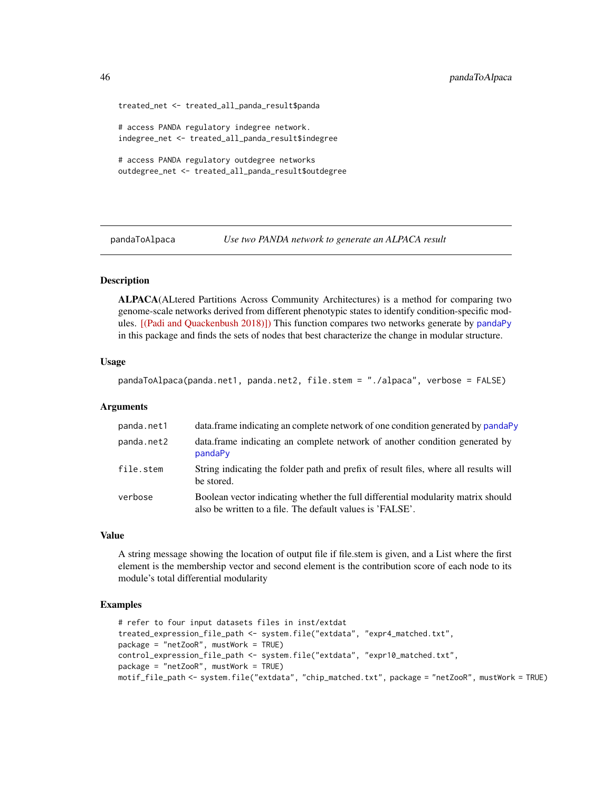```
treated_net <- treated_all_panda_result$panda
# access PANDA regulatory indegree network.
indegree_net <- treated_all_panda_result$indegree
# access PANDA regulatory outdegree networks
outdegree_net <- treated_all_panda_result$outdegree
```
pandaToAlpaca *Use two PANDA network to generate an ALPACA result*

## **Description**

ALPACA(ALtered Partitions Across Community Architectures) is a method for comparing two genome-scale networks derived from different phenotypic states to identify condition-specific modules. [\[\(Padi and Quackenbush 2018\)\]\)](https://www.nature.com/articles/s41540-018-0052-5) This function compares two networks generate by [pandaPy](#page-43-1) in this package and finds the sets of nodes that best characterize the change in modular structure.

#### Usage

pandaToAlpaca(panda.net1, panda.net2, file.stem = "./alpaca", verbose = FALSE)

#### Arguments

| panda.net1 | data, frame indicating an complete network of one condition generated by pandaPy                                                              |
|------------|-----------------------------------------------------------------------------------------------------------------------------------------------|
| panda.net2 | data.frame indicating an complete network of another condition generated by<br>pandaPy                                                        |
| file.stem  | String indicating the folder path and prefix of result files, where all results will<br>be stored.                                            |
| verbose    | Boolean vector indicating whether the full differential modularity matrix should<br>also be written to a file. The default values is 'FALSE'. |

#### Value

A string message showing the location of output file if file.stem is given, and a List where the first element is the membership vector and second element is the contribution score of each node to its module's total differential modularity

#### Examples

```
# refer to four input datasets files in inst/extdat
treated_expression_file_path <- system.file("extdata", "expr4_matched.txt",
package = "netZooR", mustWork = TRUE)
control_expression_file_path <- system.file("extdata", "expr10_matched.txt",
package = "netZooR", mustWork = TRUE)
motif_file_path <- system.file("extdata", "chip_matched.txt", package = "netZooR", mustWork = TRUE)
```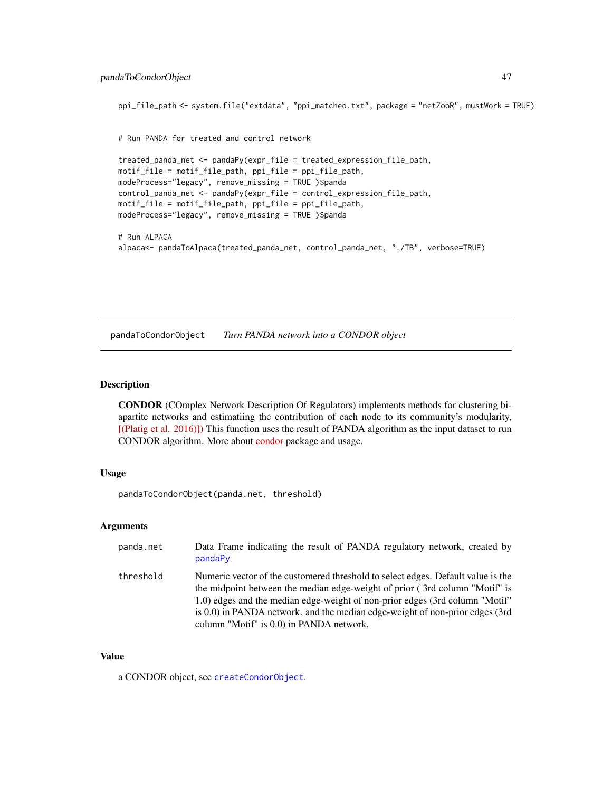```
ppi_file_path <- system.file("extdata", "ppi_matched.txt", package = "netZooR", mustWork = TRUE)
# Run PANDA for treated and control network
treated_panda_net <- pandaPy(expr_file = treated_expression_file_path,
motif_file = motif_file_path, ppi_file = ppi_file_path,
modeProcess="legacy", remove_missing = TRUE )$panda
control_panda_net <- pandaPy(expr_file = control_expression_file_path,
motif_file = motif_file_path, ppi_file = ppi_file_path,
modeProcess="legacy", remove_missing = TRUE )$panda
# Run ALPACA
alpaca<- pandaToAlpaca(treated_panda_net, control_panda_net, "./TB", verbose=TRUE)
```
pandaToCondorObject *Turn PANDA network into a CONDOR object*

## **Description**

CONDOR (COmplex Network Description Of Regulators) implements methods for clustering biapartite networks and estimatiing the contribution of each node to its community's modularity, [\[\(Platig et al. 2016\)\]\)](http://journals.plos.org/ploscompbiol/article?id=10.1371/journal.pcbi.1005033) This function uses the result of PANDA algorithm as the input dataset to run CONDOR algorithm. More about [condor](https://github.com/jplatig/condor) package and usage.

## Usage

pandaToCondorObject(panda.net, threshold)

### Arguments

| panda.net | Data Frame indicating the result of PANDA regulatory network, created by<br>pandaPy                                                                                                                                                                                                                                                                                            |
|-----------|--------------------------------------------------------------------------------------------------------------------------------------------------------------------------------------------------------------------------------------------------------------------------------------------------------------------------------------------------------------------------------|
| threshold | Numeric vector of the customered threshold to select edges. Default value is the<br>the midpoint between the median edge-weight of prior (3rd column "Motif" is<br>1.0) edges and the median edge-weight of non-prior edges (3rd column "Motif"<br>is $0.0$ ) in PANDA network. and the median edge-weight of non-prior edges (3rd<br>column "Motif" is 0.0) in PANDA network. |

#### Value

a CONDOR object, see [createCondorObject](#page-23-1).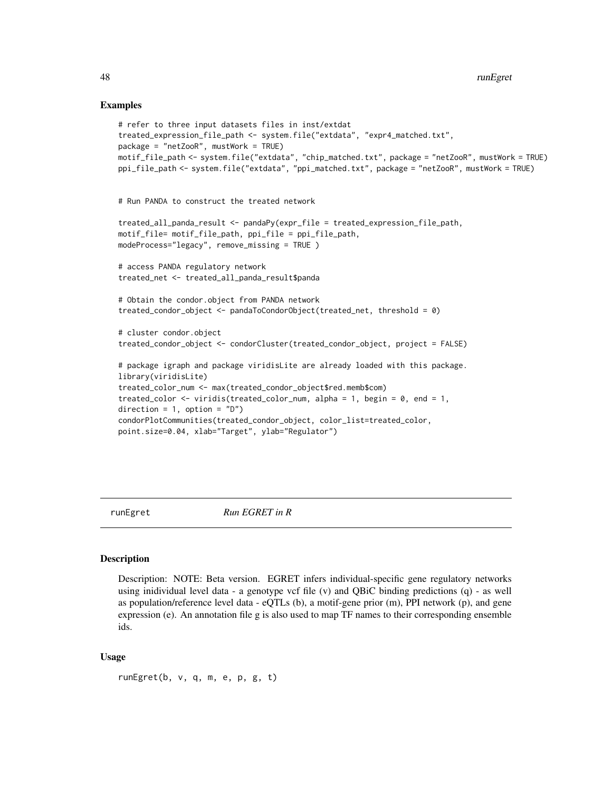#### Examples

```
# refer to three input datasets files in inst/extdat
treated_expression_file_path <- system.file("extdata", "expr4_matched.txt",
package = "netZooR", mustWork = TRUE)
motif_file_path <- system.file("extdata", "chip_matched.txt", package = "netZooR", mustWork = TRUE)
ppi_file_path <- system.file("extdata", "ppi_matched.txt", package = "netZooR", mustWork = TRUE)
# Run PANDA to construct the treated network
treated_all_panda_result <- pandaPy(expr_file = treated_expression_file_path,
motif_file= motif_file_path, ppi_file = ppi_file_path,
modeProcess="legacy", remove_missing = TRUE )
# access PANDA regulatory network
treated_net <- treated_all_panda_result$panda
# Obtain the condor.object from PANDA network
treated_condor_object <- pandaToCondorObject(treated_net, threshold = 0)
# cluster condor.object
treated_condor_object <- condorCluster(treated_condor_object, project = FALSE)
# package igraph and package viridisLite are already loaded with this package.
library(viridisLite)
treated_color_num <- max(treated_condor_object$red.memb$com)
treated_color <- viridis(treated_color_num, alpha = 1, begin = 0, end = 1,
direction = 1, option = "D")
condorPlotCommunities(treated_condor_object, color_list=treated_color,
point.size=0.04, xlab="Target", ylab="Regulator")
```
runEgret *Run EGRET in R*

#### Description

Description: NOTE: Beta version. EGRET infers individual-specific gene regulatory networks using inidividual level data - a genotype vcf file (v) and QBiC binding predictions (q) - as well as population/reference level data - eQTLs (b), a motif-gene prior (m), PPI network (p), and gene expression (e). An annotation file g is also used to map TF names to their corresponding ensemble ids.

#### Usage

runEgret(b, v, q, m, e, p, g, t)

<span id="page-47-0"></span>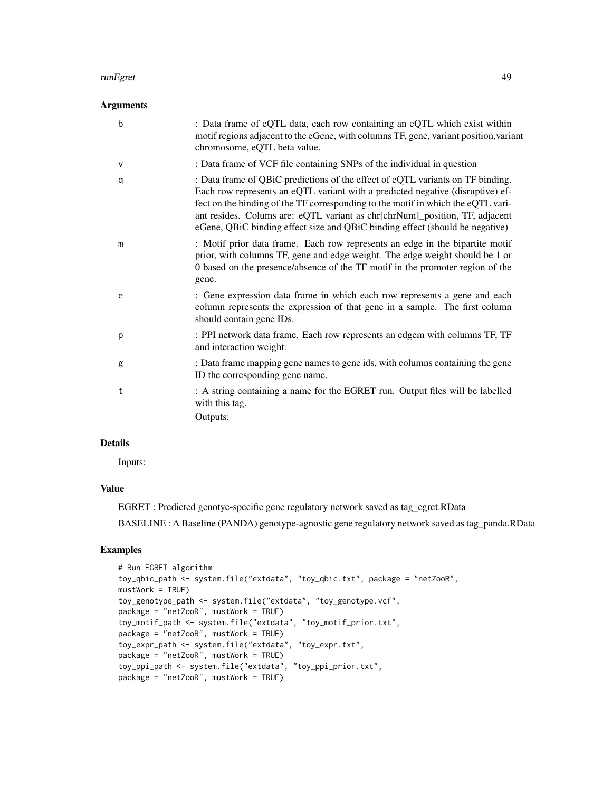#### runEgret 49

## Arguments

| b | : Data frame of eQTL data, each row containing an eQTL which exist within<br>motif regions adjacent to the eGene, with columns TF, gene, variant position, variant<br>chromosome, eQTL beta value.                                                                                                                                                                                                                  |
|---|---------------------------------------------------------------------------------------------------------------------------------------------------------------------------------------------------------------------------------------------------------------------------------------------------------------------------------------------------------------------------------------------------------------------|
| V | : Data frame of VCF file containing SNPs of the individual in question                                                                                                                                                                                                                                                                                                                                              |
| q | : Data frame of QBiC predictions of the effect of eQTL variants on TF binding.<br>Each row represents an eQTL variant with a predicted negative (disruptive) ef-<br>fect on the binding of the TF corresponding to the motif in which the eQTL vari-<br>ant resides. Colums are: eQTL variant as chr[chrNum]_position, TF, adjacent<br>eGene, QBiC binding effect size and QBiC binding effect (should be negative) |
| m | : Motif prior data frame. Each row represents an edge in the bipartite motif<br>prior, with columns TF, gene and edge weight. The edge weight should be 1 or<br>0 based on the presence/absence of the TF motif in the promoter region of the<br>gene.                                                                                                                                                              |
| e | : Gene expression data frame in which each row represents a gene and each<br>column represents the expression of that gene in a sample. The first column<br>should contain gene IDs.                                                                                                                                                                                                                                |
| p | : PPI network data frame. Each row represents an edgem with columns TF, TF<br>and interaction weight.                                                                                                                                                                                                                                                                                                               |
| g | : Data frame mapping gene names to gene ids, with columns containing the gene<br>ID the corresponding gene name.                                                                                                                                                                                                                                                                                                    |
| t | : A string containing a name for the EGRET run. Output files will be labelled<br>with this tag.<br>Outputs:                                                                                                                                                                                                                                                                                                         |
|   |                                                                                                                                                                                                                                                                                                                                                                                                                     |

## Details

Inputs:

## Value

EGRET : Predicted genotye-specific gene regulatory network saved as tag\_egret.RData BASELINE : A Baseline (PANDA) genotype-agnostic gene regulatory network saved as tag\_panda.RData

## Examples

```
# Run EGRET algorithm
toy_qbic_path <- system.file("extdata", "toy_qbic.txt", package = "netZooR",
mustWork = TRUE)
toy_genotype_path <- system.file("extdata", "toy_genotype.vcf",
package = "netZooR", mustWork = TRUE)
toy_motif_path <- system.file("extdata", "toy_motif_prior.txt",
package = "netZooR", mustWork = TRUE)
toy_expr_path <- system.file("extdata", "toy_expr.txt",
package = "netZooR", mustWork = TRUE)
toy_ppi_path <- system.file("extdata", "toy_ppi_prior.txt",
package = "netZooR", mustWork = TRUE)
```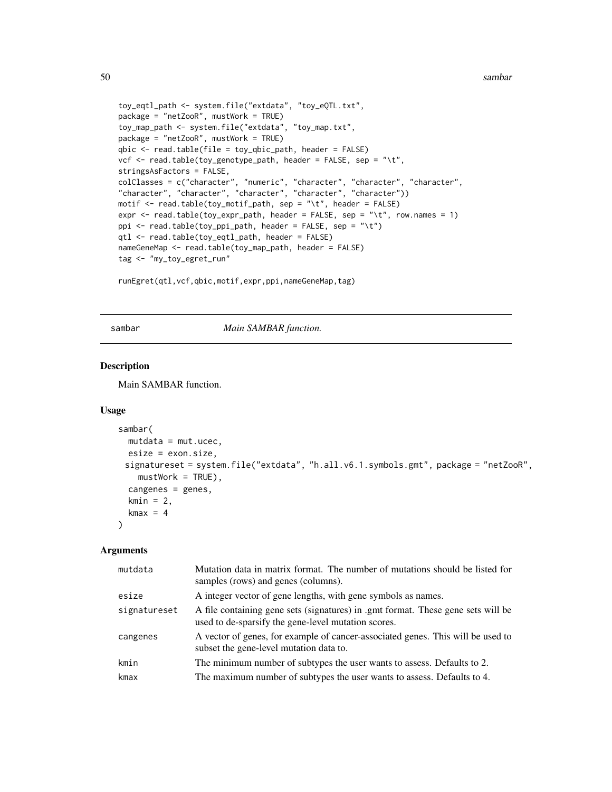```
toy_eqtl_path <- system.file("extdata", "toy_eQTL.txt",
package = "netZooR", mustWork = TRUE)
toy_map_path <- system.file("extdata", "toy_map.txt",
package = "netZooR", mustWork = TRUE)
qbic <- read.table(file = toy_qbic_path, header = FALSE)
vcf <- read.table(toy_genotype_path, header = FALSE, sep = "\t",
stringsAsFactors = FALSE,
colClasses = c("character", "numeric", "character", "character", "character",
"character", "character", "character", "character", "character"))
motif \leq read.table(toy_motif_path, sep = "\t", header = FALSE)
expr <- read.table(toy_expr_path, header = FALSE, sep = "\t", row.names = 1)
ppi <- read.table(toy_ppi_path, header = FALSE, sep = "\t")
qtl <- read.table(toy_eqtl_path, header = FALSE)
nameGeneMap <- read.table(toy_map_path, header = FALSE)
tag <- "my_toy_egret_run"
```

```
runEgret(qtl,vcf,qbic,motif,expr,ppi,nameGeneMap,tag)
```
### sambar *Main SAMBAR function.*

## Description

Main SAMBAR function.

#### Usage

```
sambar(
 mutdata = mutuesize = exon.size,
 signatureset = system.file("extdata", "h.all.v6.1.symbols.gmt", package = "netZooR",
   mustWork = TRUE,
 cangenes = genes,
 kmin = 2,kmax = 4)
```
#### **Arguments**

| mutdata      | Mutation data in matrix format. The number of mutations should be listed for<br>samples (rows) and genes (columns).                     |
|--------------|-----------------------------------------------------------------------------------------------------------------------------------------|
| esize        | A integer vector of gene lengths, with gene symbols as names.                                                                           |
| signatureset | A file containing gene sets (signatures) in .gmt format. These gene sets will be<br>used to de-sparsify the gene-level mutation scores. |
| cangenes     | A vector of genes, for example of cancer-associated genes. This will be used to<br>subset the gene-level mutation data to.              |
| kmin         | The minimum number of subtypes the user wants to assess. Defaults to 2.                                                                 |
| kmax         | The maximum number of subtypes the user wants to assess. Defaults to 4.                                                                 |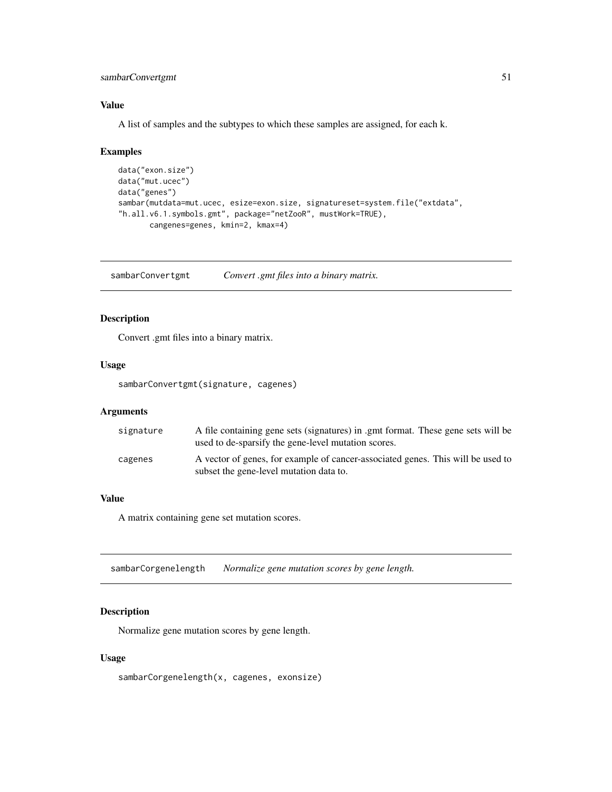## <span id="page-50-0"></span>sambarConvertgmt 51

## Value

A list of samples and the subtypes to which these samples are assigned, for each k.

### Examples

```
data("exon.size")
data("mut.ucec")
data("genes")
sambar(mutdata=mut.ucec, esize=exon.size, signatureset=system.file("extdata",
"h.all.v6.1.symbols.gmt", package="netZooR", mustWork=TRUE),
       cangenes=genes, kmin=2, kmax=4)
```
sambarConvertgmt *Convert .gmt files into a binary matrix.*

## Description

Convert .gmt files into a binary matrix.

### Usage

sambarConvertgmt(signature, cagenes)

## Arguments

| signature | A file containing gene sets (signatures) in .gmt format. These gene sets will be<br>used to de-sparsify the gene-level mutation scores. |
|-----------|-----------------------------------------------------------------------------------------------------------------------------------------|
| cagenes   | A vector of genes, for example of cancer-associated genes. This will be used to<br>subset the gene-level mutation data to.              |

## Value

A matrix containing gene set mutation scores.

sambarCorgenelength *Normalize gene mutation scores by gene length.*

## Description

Normalize gene mutation scores by gene length.

## Usage

sambarCorgenelength(x, cagenes, exonsize)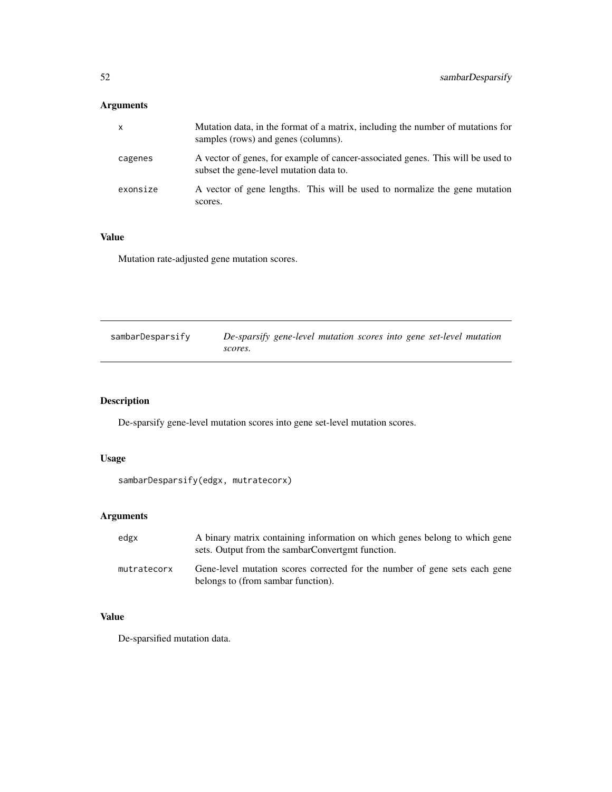## <span id="page-51-0"></span>Arguments

| X        | Mutation data, in the format of a matrix, including the number of mutations for<br>samples (rows) and genes (columns).     |
|----------|----------------------------------------------------------------------------------------------------------------------------|
| cagenes  | A vector of genes, for example of cancer-associated genes. This will be used to<br>subset the gene-level mutation data to. |
| exonsize | A vector of gene lengths. This will be used to normalize the gene mutation<br>scores.                                      |

## Value

Mutation rate-adjusted gene mutation scores.

| sambarDesparsify | De-sparsify gene-level mutation scores into gene set-level mutation |
|------------------|---------------------------------------------------------------------|
|                  | scores.                                                             |

## Description

De-sparsify gene-level mutation scores into gene set-level mutation scores.

## Usage

```
sambarDesparsify(edgx, mutratecorx)
```
## Arguments

| edgx        | A binary matrix containing information on which genes belong to which gene<br>sets. Output from the sambarConverterm function. |
|-------------|--------------------------------------------------------------------------------------------------------------------------------|
| mutratecorx | Gene-level mutation scores corrected for the number of gene sets each gene<br>belongs to (from sambar function).               |

## Value

De-sparsified mutation data.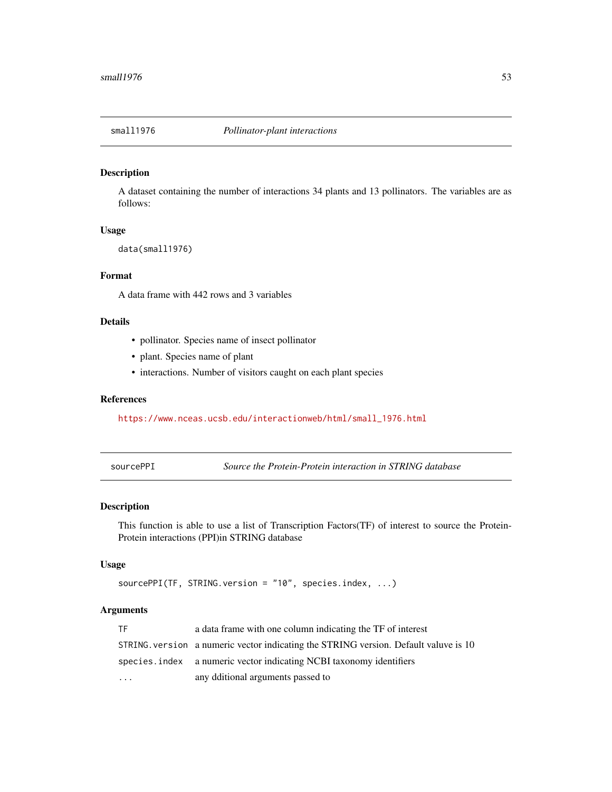<span id="page-52-0"></span>

#### Description

A dataset containing the number of interactions 34 plants and 13 pollinators. The variables are as follows:

## Usage

data(small1976)

## Format

A data frame with 442 rows and 3 variables

## Details

- pollinator. Species name of insect pollinator
- plant. Species name of plant
- interactions. Number of visitors caught on each plant species

## References

[https://www.nceas.ucsb.edu/interactionweb/html/small\\_1976.html](https://www.nceas.ucsb.edu/interactionweb/html/small_1976.html)

<span id="page-52-1"></span>sourcePPI *Source the Protein-Protein interaction in STRING database*

## Description

This function is able to use a list of Transcription Factors(TF) of interest to source the Protein-Protein interactions (PPI)in STRING database

## Usage

```
sourcePPI(TF, STRING.version = "10", species.index, ...)
```
## Arguments

| TF        | a data frame with one column indicating the TF of interest                           |
|-----------|--------------------------------------------------------------------------------------|
|           | STRING, version a numeric vector indicating the STRING version. Default valuve is 10 |
|           | species. index a numeric vector indicating NCBI taxonomy identifiers                 |
| $\ddotsc$ | any dditional arguments passed to                                                    |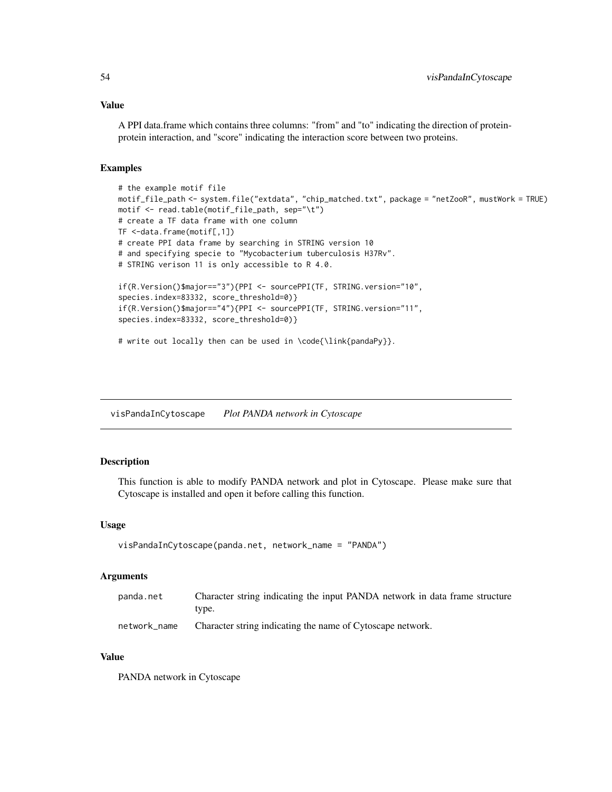## <span id="page-53-0"></span>Value

A PPI data.frame which contains three columns: "from" and "to" indicating the direction of proteinprotein interaction, and "score" indicating the interaction score between two proteins.

#### Examples

```
# the example motif file
motif_file_path <- system.file("extdata", "chip_matched.txt", package = "netZooR", mustWork = TRUE)
motif <- read.table(motif_file_path, sep="\t")
# create a TF data frame with one column
TF <-data.frame(motif[,1])
# create PPI data frame by searching in STRING version 10
# and specifying specie to "Mycobacterium tuberculosis H37Rv".
# STRING verison 11 is only accessible to R 4.0.
if(R.Version()$major=="3"){PPI <- sourcePPI(TF, STRING.version="10",
species.index=83332, score_threshold=0)}
if(R.Version()$major=="4"){PPI <- sourcePPI(TF, STRING.version="11",
species.index=83332, score_threshold=0)}
# write out locally then can be used in \code{\link{pandaPy}}.
```
visPandaInCytoscape *Plot PANDA network in Cytoscape*

#### Description

This function is able to modify PANDA network and plot in Cytoscape. Please make sure that Cytoscape is installed and open it before calling this function.

#### Usage

```
visPandaInCytoscape(panda.net, network_name = "PANDA")
```
#### Arguments

| panda.net    | Character string indicating the input PANDA network in data frame structure |
|--------------|-----------------------------------------------------------------------------|
|              | tvpe.                                                                       |
| network name | Character string indicating the name of Cytoscape network.                  |

#### Value

PANDA network in Cytoscape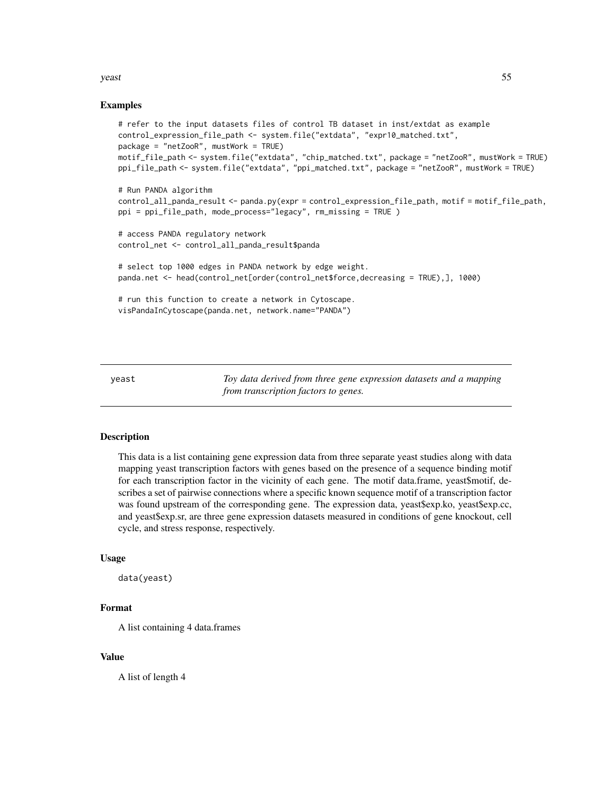#### <span id="page-54-0"></span>yeast 55

#### Examples

```
# refer to the input datasets files of control TB dataset in inst/extdat as example
control_expression_file_path <- system.file("extdata", "expr10_matched.txt",
package = "netZooR", mustWork = TRUE)
motif_file_path <- system.file("extdata", "chip_matched.txt", package = "netZooR", mustWork = TRUE)
ppi_file_path <- system.file("extdata", "ppi_matched.txt", package = "netZooR", mustWork = TRUE)
# Run PANDA algorithm
control_all_panda_result <- panda.py(expr = control_expression_file_path, motif = motif_file_path,
ppi = ppi_file_path, mode_process="legacy", rm_missing = TRUE )
# access PANDA regulatory network
control_net <- control_all_panda_result$panda
# select top 1000 edges in PANDA network by edge weight.
panda.net <- head(control_net[order(control_net$force,decreasing = TRUE),], 1000)
# run this function to create a network in Cytoscape.
visPandaInCytoscape(panda.net, network.name="PANDA")
```
yeast *Toy data derived from three gene expression datasets and a mapping from transcription factors to genes.*

#### Description

This data is a list containing gene expression data from three separate yeast studies along with data mapping yeast transcription factors with genes based on the presence of a sequence binding motif for each transcription factor in the vicinity of each gene. The motif data.frame, yeast\$motif, describes a set of pairwise connections where a specific known sequence motif of a transcription factor was found upstream of the corresponding gene. The expression data, yeast\$exp.ko, yeast\$exp.cc, and yeast\$exp.sr, are three gene expression datasets measured in conditions of gene knockout, cell cycle, and stress response, respectively.

#### Usage

data(yeast)

#### Format

A list containing 4 data.frames

#### Value

A list of length 4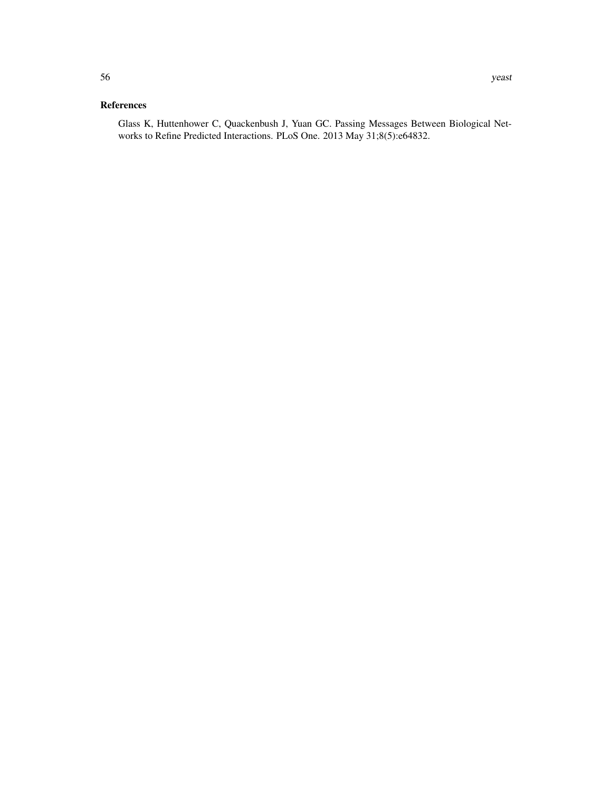## References

Glass K, Huttenhower C, Quackenbush J, Yuan GC. Passing Messages Between Biological Networks to Refine Predicted Interactions. PLoS One. 2013 May 31;8(5):e64832.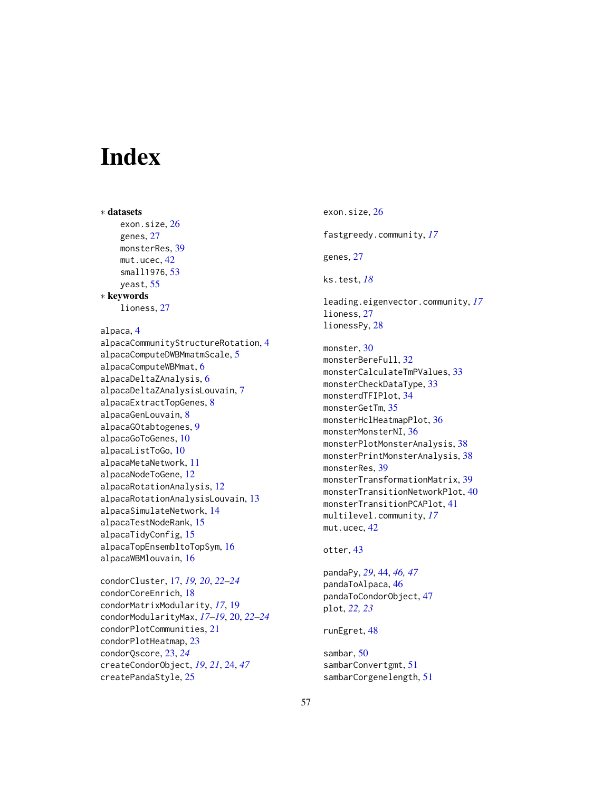# <span id="page-56-0"></span>**Index**

∗ datasets exon.size, [26](#page-25-0) genes, [27](#page-26-0) monsterRes, [39](#page-38-0) mut.ucec, [42](#page-41-0) small1976, [53](#page-52-0) yeast, [55](#page-54-0) ∗ keywords lioness, [27](#page-26-0) alpaca, [4](#page-3-0) alpacaCommunityStructureRotation, [4](#page-3-0) alpacaComputeDWBMmatmScale, [5](#page-4-0) alpacaComputeWBMmat, [6](#page-5-0) alpacaDeltaZAnalysis, [6](#page-5-0) alpacaDeltaZAnalysisLouvain, [7](#page-6-0) alpacaExtractTopGenes, [8](#page-7-0) alpacaGenLouvain, [8](#page-7-0) alpacaGOtabtogenes, [9](#page-8-0) alpacaGoToGenes, [10](#page-9-0) alpacaListToGo, [10](#page-9-0) alpacaMetaNetwork, [11](#page-10-0) alpacaNodeToGene, [12](#page-11-0) alpacaRotationAnalysis, [12](#page-11-0) alpacaRotationAnalysisLouvain, [13](#page-12-0) alpacaSimulateNetwork, [14](#page-13-0) alpacaTestNodeRank, [15](#page-14-0) alpacaTidyConfig, [15](#page-14-0) alpacaTopEnsembltoTopSym, [16](#page-15-0) alpacaWBMlouvain, [16](#page-15-0)

condorCluster, [17,](#page-16-0) *[19,](#page-18-0) [20](#page-19-0)*, *[22–](#page-21-0)[24](#page-23-0)* condorCoreEnrich, [18](#page-17-0) condorMatrixModularity, *[17](#page-16-0)*, [19](#page-18-0) condorModularityMax, *[17–](#page-16-0)[19](#page-18-0)*, [20,](#page-19-0) *[22–](#page-21-0)[24](#page-23-0)* condorPlotCommunities, [21](#page-20-0) condorPlotHeatmap, [23](#page-22-0) condorQscore, [23,](#page-22-0) *[24](#page-23-0)* createCondorObject, *[19](#page-18-0)*, *[21](#page-20-0)*, [24,](#page-23-0) *[47](#page-46-0)* createPandaStyle, [25](#page-24-0)

exon.size, [26](#page-25-0) fastgreedy.community, *[17](#page-16-0)* genes, [27](#page-26-0) ks.test, *[18](#page-17-0)* leading.eigenvector.community, *[17](#page-16-0)* lioness, [27](#page-26-0) lionessPy, [28](#page-27-0) monster, [30](#page-29-0) monsterBereFull, [32](#page-31-0) monsterCalculateTmPValues, [33](#page-32-0) monsterCheckDataType, [33](#page-32-0) monsterdTFIPlot, [34](#page-33-0) monsterGetTm, [35](#page-34-0) monsterHclHeatmapPlot, [36](#page-35-0) monsterMonsterNI, [36](#page-35-0) monsterPlotMonsterAnalysis, [38](#page-37-0) monsterPrintMonsterAnalysis, [38](#page-37-0) monsterRes, [39](#page-38-0) monsterTransformationMatrix, [39](#page-38-0) monsterTransitionNetworkPlot, [40](#page-39-0) monsterTransitionPCAPlot, [41](#page-40-0) multilevel.community, *[17](#page-16-0)* mut.ucec, [42](#page-41-0)

## otter, [43](#page-42-0)

pandaPy, *[29](#page-28-0)*, [44,](#page-43-0) *[46,](#page-45-0) [47](#page-46-0)* pandaToAlpaca, [46](#page-45-0) pandaToCondorObject, [47](#page-46-0) plot, *[22,](#page-21-0) [23](#page-22-0)*

runEgret, [48](#page-47-0)

sambar, [50](#page-49-0) sambarConvertgmt, [51](#page-50-0) sambarCorgenelength, [51](#page-50-0)